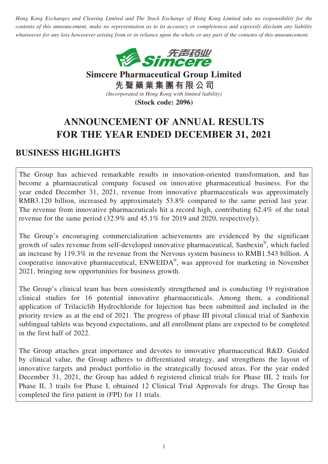*Hong Kong Exchanges and Clearing Limited and The Stock Exchange of Hong Kong Limited take no responsibility for the contents of this announcement, make no representation as to its accuracy or completeness and expressly disclaim any liability whatsoever for any loss howsoever arising from or in reliance upon the whole or any part of the contents of this announcement.*



**Simcere Pharmaceutical Group Limited 先聲藥業集團有限公司** *(Incorporated in Hong Kong with limited liability)*

**(Stock code: 2096)**

# **ANNOUNCEMENT OF ANNUAL RESULTS FOR THE YEAR ENDED DECEMBER 31, 2021**

# **BUSINESS HIGHLIGHTS**

The Group has achieved remarkable results in innovation-oriented transformation, and has become a pharmaceutical company focused on innovative pharmaceutical business. For the year ended December 31, 2021, revenue from innovative pharmaceuticals was approximately RMB3.120 billion, increased by approximately 53.8% compared to the same period last year. The revenue from innovative pharmaceuticals hit a record high, contributing 62.4% of the total revenue for the same period (32.9% and 45.1% for 2019 and 2020, respectively).

The Group's encouraging commercialization achievements are evidenced by the significant growth of sales revenue from self-developed innovative pharmaceutical, Sanbexin® , which fueled an increase by 119.3% in the revenue from the Nervous system business to RMB1.543 billion. A cooperative innovative pharmaceutical, ENWEIDA® , was approved for marketing in November 2021, bringing new opportunities for business growth.

The Group's clinical team has been consistently strengthened and is conducting 19 registration clinical studies for 16 potential innovative pharmaceuticals. Among them, a conditional application of Trilaciclib Hydrochloride for Injection has been submitted and included in the priority review as at the end of 2021. The progress of phase III pivotal clinical trial of Sanbexin sublingual tablets was beyond expectations, and all enrollment plans are expected to be completed in the first half of 2022.

The Group attaches great importance and devotes to innovative pharmaceutical R&D. Guided by clinical value, the Group adheres to differentiated strategy, and strengthens the layout of innovative targets and product portfolio in the strategically focused areas. For the year ended December 31, 2021, the Group has added 6 registered clinical trials for Phase III, 2 trails for Phase II, 3 trails for Phase I, obtained 12 Clinical Trial Approvals for drugs. The Group has completed the first patient in (FPI) for 11 trials.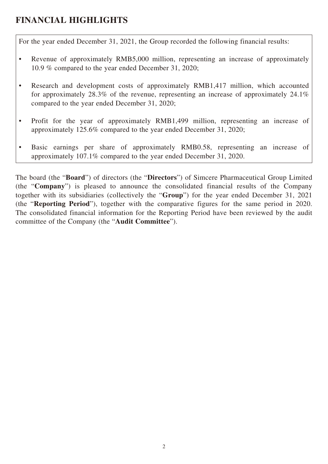# **FINANCIAL HIGHLIGHTS**

For the year ended December 31, 2021, the Group recorded the following financial results:

- Revenue of approximately RMB5,000 million, representing an increase of approximately 10.9 % compared to the year ended December 31, 2020;
- Research and development costs of approximately RMB1,417 million, which accounted for approximately 28.3% of the revenue, representing an increase of approximately 24.1% compared to the year ended December 31, 2020;
- Profit for the year of approximately RMB1,499 million, representing an increase of approximately 125.6% compared to the year ended December 31, 2020;
- Basic earnings per share of approximately RMB0.58, representing an increase of approximately 107.1% compared to the year ended December 31, 2020.

The board (the "**Board**") of directors (the "**Directors**") of Simcere Pharmaceutical Group Limited (the "**Company**") is pleased to announce the consolidated financial results of the Company together with its subsidiaries (collectively the "**Group**") for the year ended December 31, 2021 (the "**Reporting Period**"), together with the comparative figures for the same period in 2020. The consolidated financial information for the Reporting Period have been reviewed by the audit committee of the Company (the "**Audit Committee**").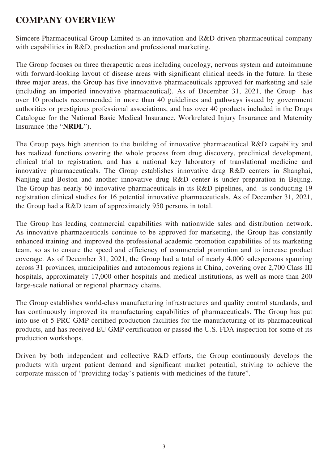# **COMPANY OVERVIEW**

Simcere Pharmaceutical Group Limited is an innovation and R&D-driven pharmaceutical company with capabilities in R&D, production and professional marketing.

The Group focuses on three therapeutic areas including oncology, nervous system and autoimmune with forward-looking layout of disease areas with significant clinical needs in the future. In these three major areas, the Group has five innovative pharmaceuticals approved for marketing and sale (including an imported innovative pharmaceutical). As of December 31, 2021, the Group has over 10 products recommended in more than 40 guidelines and pathways issued by government authorities or prestigious professional associations, and has over 40 products included in the Drugs Catalogue for the National Basic Medical Insurance, Workrelated Injury Insurance and Maternity Insurance (the "**NRDL**").

The Group pays high attention to the building of innovative pharmaceutical R&D capability and has realized functions covering the whole process from drug discovery, preclinical development, clinical trial to registration, and has a national key laboratory of translational medicine and innovative pharmaceuticals. The Group establishes innovative drug R&D centers in Shanghai, Nanjing and Boston and another innovative drug R&D center is under preparation in Beijing. The Group has nearly 60 innovative pharmaceuticals in its R&D pipelines, and is conducting 19 registration clinical studies for 16 potential innovative pharmaceuticals. As of December 31, 2021, the Group had a R&D team of approximately 950 persons in total.

The Group has leading commercial capabilities with nationwide sales and distribution network. As innovative pharmaceuticals continue to be approved for marketing, the Group has constantly enhanced training and improved the professional academic promotion capabilities of its marketing team, so as to ensure the speed and efficiency of commercial promotion and to increase product coverage. As of December 31, 2021, the Group had a total of nearly 4,000 salespersons spanning across 31 provinces, municipalities and autonomous regions in China, covering over 2,700 Class III hospitals, approximately 17,000 other hospitals and medical institutions, as well as more than 200 large-scale national or regional pharmacy chains.

The Group establishes world-class manufacturing infrastructures and quality control standards, and has continuously improved its manufacturing capabilities of pharmaceuticals. The Group has put into use of 5 PRC GMP certified production facilities for the manufacturing of its pharmaceutical products, and has received EU GMP certification or passed the U.S. FDA inspection for some of its production workshops.

Driven by both independent and collective R&D efforts, the Group continuously develops the products with urgent patient demand and significant market potential, striving to achieve the corporate mission of "providing today's patients with medicines of the future".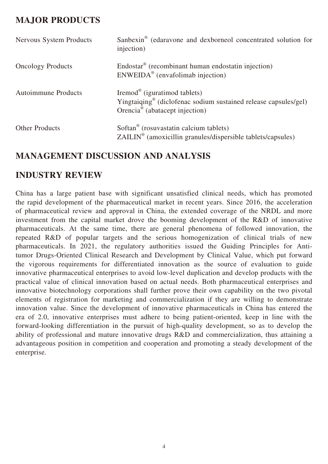# **MAJOR PRODUCTS**

| <b>Nervous System Products</b> | Sanbexin <sup>®</sup> (edaravone and dexborneol concentrated solution for<br>injection)                                                                               |
|--------------------------------|-----------------------------------------------------------------------------------------------------------------------------------------------------------------------|
| <b>Oncology Products</b>       | Endostar <sup>®</sup> (recombinant human endostatin injection)<br>$ENWEIDA®$ (envafolimab injection)                                                                  |
| <b>Autoimmune Products</b>     | Iremod <sup>®</sup> (iguratimod tablets)<br>Yingtaiqing <sup>®</sup> (diclofenac sodium sustained release capsules/gel)<br>Orencia <sup>®</sup> (abatacept injection) |
| <b>Other Products</b>          | Softan <sup>®</sup> (rosuvastatin calcium tablets)<br>$ZAILIN^{\circledcirc}$ (amoxicillin granules/dispersible tablets/capsules)                                     |

# **MANAGEMENT DISCUSSION AND ANALYSIS**

### **INDUSTRY REVIEW**

China has a large patient base with significant unsatisfied clinical needs, which has promoted the rapid development of the pharmaceutical market in recent years. Since 2016, the acceleration of pharmaceutical review and approval in China, the extended coverage of the NRDL and more investment from the capital market drove the booming development of the R&D of innovative pharmaceuticals. At the same time, there are general phenomena of followed innovation, the repeated R&D of popular targets and the serious homogenization of clinical trials of new pharmaceuticals. In 2021, the regulatory authorities issued the Guiding Principles for Antitumor Drugs-Oriented Clinical Research and Development by Clinical Value, which put forward the vigorous requirements for differentiated innovation as the source of evaluation to guide innovative pharmaceutical enterprises to avoid low-level duplication and develop products with the practical value of clinical innovation based on actual needs. Both pharmaceutical enterprises and innovative biotechnology corporations shall further prove their own capability on the two pivotal elements of registration for marketing and commercialization if they are willing to demonstrate innovation value. Since the development of innovative pharmaceuticals in China has entered the era of 2.0, innovative enterprises must adhere to being patient-oriented, keep in line with the forward-looking differentiation in the pursuit of high-quality development, so as to develop the ability of professional and mature innovative drugs R&D and commercialization, thus attaining a advantageous position in competition and cooperation and promoting a steady development of the enterprise.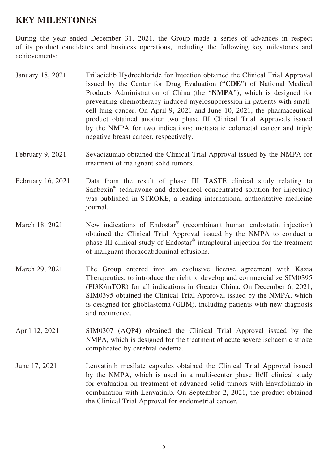### **KEY MILESTONES**

During the year ended December 31, 2021, the Group made a series of advances in respect of its product candidates and business operations, including the following key milestones and achievements:

- January 18, 2021 Trilaciclib Hydrochloride for Injection obtained the Clinical Trial Approval issued by the Center for Drug Evaluation ("**CDE**") of National Medical Products Administration of China (the "**NMPA**"), which is designed for preventing chemotherapy-induced myelosuppression in patients with smallcell lung cancer. On April 9, 2021 and June 10, 2021, the pharmaceutical product obtained another two phase III Clinical Trial Approvals issued by the NMPA for two indications: metastatic colorectal cancer and triple negative breast cancer, respectively.
- February 9, 2021 Sevacizumab obtained the Clinical Trial Approval issued by the NMPA for treatment of malignant solid tumors.
- February 16, 2021 Data from the result of phase III TASTE clinical study relating to Sanbexin<sup>®</sup> (edaravone and dexborneol concentrated solution for injection) was published in STROKE, a leading international authoritative medicine journal.
- March 18, 2021 New indications of Endostar<sup>®</sup> (recombinant human endostatin injection) obtained the Clinical Trial Approval issued by the NMPA to conduct a phase III clinical study of Endostar<sup>®</sup> intrapleural injection for the treatment of malignant thoracoabdominal effusions.
- March 29, 2021 The Group entered into an exclusive license agreement with Kazia Therapeutics, to introduce the right to develop and commercialize SIM0395 (PI3K/mTOR) for all indications in Greater China. On December 6, 2021, SIM0395 obtained the Clinical Trial Approval issued by the NMPA, which is designed for glioblastoma (GBM), including patients with new diagnosis and recurrence.
- April 12, 2021 SIM0307 (AQP4) obtained the Clinical Trial Approval issued by the NMPA, which is designed for the treatment of acute severe ischaemic stroke complicated by cerebral oedema.
- June 17, 2021 Lenvatinib mesilate capsules obtained the Clinical Trial Approval issued by the NMPA, which is used in a multi-center phase Ib/II clinical study for evaluation on treatment of advanced solid tumors with Envafolimab in combination with Lenvatinib. On September 2, 2021, the product obtained the Clinical Trial Approval for endometrial cancer.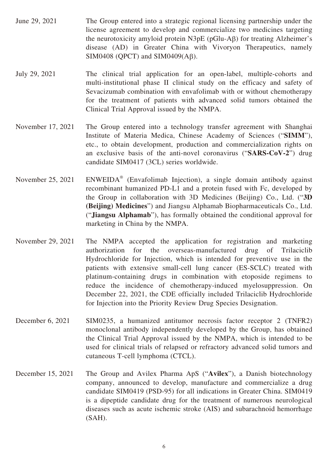- June 29, 2021 The Group entered into a strategic regional licensing partnership under the license agreement to develop and commercialize two medicines targeting the neurotoxicity amyloid protein N3pE (pGlu-Aβ) for treating Alzheimer's disease (AD) in Greater China with Vivoryon Therapeutics, namely SIM0408 (QPCT) and SIM0409(Aβ).
- July 29, 2021 The clinical trial application for an open-label, multiple-cohorts and multi-institutional phase II clinical study on the efficacy and safety of Sevacizumab combination with envafolimab with or without chemotherapy for the treatment of patients with advanced solid tumors obtained the Clinical Trial Approval issued by the NMPA.
- November 17, 2021 The Group entered into a technology transfer agreement with Shanghai Institute of Materia Medica, Chinese Academy of Sciences ("**SIMM**"), etc., to obtain development, production and commercialization rights on an exclusive basis of the anti-novel coronavirus ("**SARS-CoV-2**") drug candidate SIM0417 (3CL) series worldwide.
- November 25, 2021 (Envafolimab Injection), a single domain antibody against recombinant humanized PD-L1 and a protein fused with Fc, developed by the Group in collaboration with 3D Medicines (Beijing) Co., Ltd. ("**3D (Beijing) Medicines**") and Jiangsu Alphamab Biopharmaceuticals Co., Ltd. ("**Jiangsu Alphamab**"), has formally obtained the conditional approval for marketing in China by the NMPA.
- November 29, 2021 The NMPA accepted the application for registration and marketing authorization for the overseas-manufactured drug of Trilaciclib Hydrochloride for Injection, which is intended for preventive use in the patients with extensive small-cell lung cancer (ES-SCLC) treated with platinum-containing drugs in combination with etoposide regimens to reduce the incidence of chemotherapy-induced myelosuppression. On December 22, 2021, the CDE officially included Trilaciclib Hydrochloride for Injection into the Priority Review Drug Species Designation.
- December 6, 2021 SIM0235, a humanized antitumor necrosis factor receptor 2 (TNFR2) monoclonal antibody independently developed by the Group, has obtained the Clinical Trial Approval issued by the NMPA, which is intended to be used for clinical trials of relapsed or refractory advanced solid tumors and cutaneous T-cell lymphoma (CTCL).
- December 15, 2021 The Group and Avilex Pharma ApS ("**Avilex**"), a Danish biotechnology company, announced to develop, manufacture and commercialize a drug candidate SIM0419 (PSD-95) for all indications in Greater China. SIM0419 is a dipeptide candidate drug for the treatment of numerous neurological diseases such as acute ischemic stroke (AIS) and subarachnoid hemorrhage (SAH).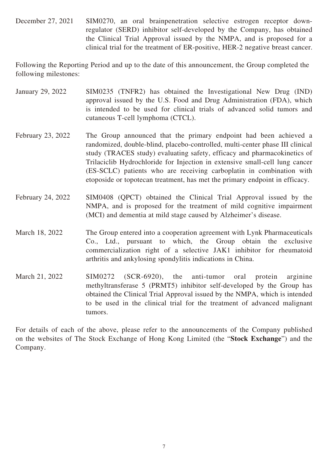December 27, 2021 SIM0270, an oral brainpenetration selective estrogen receptor downregulator (SERD) inhibitor self-developed by the Company, has obtained the Clinical Trial Approval issued by the NMPA, and is proposed for a clinical trial for the treatment of ER-positive, HER-2 negative breast cancer.

Following the Reporting Period and up to the date of this announcement, the Group completed the following milestones:

- January 29, 2022 SIM0235 (TNFR2) has obtained the Investigational New Drug (IND) approval issued by the U.S. Food and Drug Administration (FDA), which is intended to be used for clinical trials of advanced solid tumors and cutaneous T-cell lymphoma (CTCL).
- February 23, 2022 The Group announced that the primary endpoint had been achieved a randomized, double-blind, placebo-controlled, multi-center phase III clinical study (TRACES study) evaluating safety, efficacy and pharmacokinetics of Trilaciclib Hydrochloride for Injection in extensive small-cell lung cancer (ES-SCLC) patients who are receiving carboplatin in combination with etoposide or topotecan treatment, has met the primary endpoint in efficacy.
- February 24, 2022 SIM0408 (QPCT) obtained the Clinical Trial Approval issued by the NMPA, and is proposed for the treatment of mild cognitive impairment (MCI) and dementia at mild stage caused by Alzheimer's disease.
- March 18, 2022 The Group entered into a cooperation agreement with Lynk Pharmaceuticals Co., Ltd., pursuant to which, the Group obtain the exclusive commercialization right of a selective JAK1 inhibitor for rheumatoid arthritis and ankylosing spondylitis indications in China.
- March 21, 2022 SIM0272 (SCR-6920), the anti-tumor oral protein arginine methyltransferase 5 (PRMT5) inhibitor self-developed by the Group has obtained the Clinical Trial Approval issued by the NMPA, which is intended to be used in the clinical trial for the treatment of advanced malignant tumors.

For details of each of the above, please refer to the announcements of the Company published on the websites of The Stock Exchange of Hong Kong Limited (the "**Stock Exchange**") and the Company.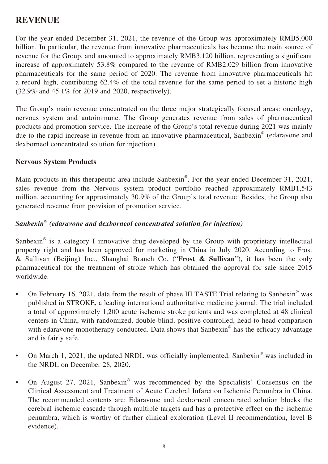### **REVENUE**

For the year ended December 31, 2021, the revenue of the Group was approximately RMB5.000 billion. In particular, the revenue from innovative pharmaceuticals has become the main source of revenue for the Group, and amounted to approximately RMB3.120 billion, representing a significant increase of approximately 53.8% compared to the revenue of RMB2.029 billion from innovative pharmaceuticals for the same period of 2020. The revenue from innovative pharmaceuticals hit a record high, contributing 62.4% of the total revenue for the same period to set a historic high (32.9% and 45.1% for 2019 and 2020, respectively).

The Group's main revenue concentrated on the three major strategically focused areas: oncology, nervous system and autoimmune. The Group generates revenue from sales of pharmaceutical products and promotion service. The increase of the Group's total revenue during 2021 was mainly due to the rapid increase in revenue from an innovative pharmaceutical, Sanbexin<sup>®</sup> (edaravone and dexborneol concentrated solution for injection).

#### **Nervous System Products**

Main products in this therapeutic area include Sanbexin<sup>®</sup>. For the year ended December 31, 2021, sales revenue from the Nervous system product portfolio reached approximately RMB1,543 million, accounting for approximately 30.9% of the Group's total revenue. Besides, the Group also generated revenue from provision of promotion service.

#### *Sanbexin® (edaravone and dexborneol concentrated solution for injection)*

Sanbexin<sup>®</sup> is a category I innovative drug developed by the Group with proprietary intellectual property right and has been approved for marketing in China in July 2020. According to Frost & Sullivan (Beijing) Inc., Shanghai Branch Co. ("**Frost & Sullivan**"), it has been the only pharmaceutical for the treatment of stroke which has obtained the approval for sale since 2015 worldwide.

- On February 16, 2021, data from the result of phase III TASTE Trial relating to Sanbexin<sup>®</sup> was published in STROKE, a leading international authoritative medicine journal. The trial included a total of approximately 1,200 acute ischemic stroke patients and was completed at 48 clinical centers in China, with randomized, double-blind, positive controlled, head-to-head comparison with edaravone monotherapy conducted. Data shows that Sanbexin® has the efficacy advantage and is fairly safe.
- On March 1, 2021, the updated NRDL was officially implemented. Sanbexin<sup>®</sup> was included in the NRDL on December 28, 2020.
- On August 27, 2021, Sanbexin<sup>®</sup> was recommended by the Specialists' Consensus on the Clinical Assessment and Treatment of Acute Cerebral Infarction Ischemic Penumbra in China. The recommended contents are: Edaravone and dexborneol concentrated solution blocks the cerebral ischemic cascade through multiple targets and has a protective effect on the ischemic penumbra, which is worthy of further clinical exploration (Level II recommendation, level B evidence).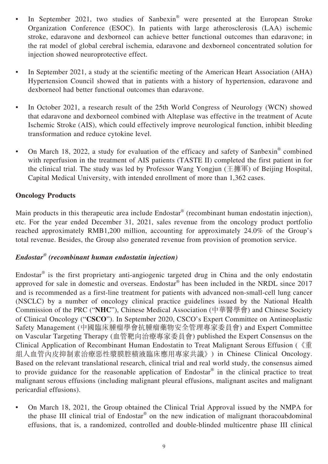- In September 2021, two studies of Sanbexin® were presented at the European Stroke Organization Conference (ESOC). In patients with large atherosclerosis (LAA) ischemic stroke, edaravone and dexborneol can achieve better functional outcomes than edaravone; in the rat model of global cerebral ischemia, edaravone and dexborneol concentrated solution for injection showed neuroprotective effect.
- In September 2021, a study at the scientific meeting of the American Heart Association (AHA) Hypertension Council showed that in patients with a history of hypertension, edaravone and dexborneol had better functional outcomes than edaravone.
- In October 2021, a research result of the 25th World Congress of Neurology (WCN) showed that edaravone and dexborneol combined with Alteplase was effective in the treatment of Acute Ischemic Stroke (AIS), which could effectively improve neurological function, inhibit bleeding transformation and reduce cytokine level.
- On March 18, 2022, a study for evaluation of the efficacy and safety of Sanbexin<sup>®</sup> combined with reperfusion in the treatment of AIS patients (TASTE II) completed the first patient in for the clinical trial. The study was led by Professor Wang Yongjun (王擁軍) of Beijing Hospital, Capital Medical University, with intended enrollment of more than 1,362 cases.

#### **Oncology Products**

Main products in this therapeutic area include Endostar<sup>®</sup> (recombinant human endostatin injection), etc. For the year ended December 31, 2021, sales revenue from the oncology product portfolio reached approximately RMB1,200 million, accounting for approximately 24.0% of the Group's total revenue. Besides, the Group also generated revenue from provision of promotion service.

#### *Endostar® (recombinant human endostatin injection)*

Endostar $^{\circ}$  is the first proprietary anti-angiogenic targeted drug in China and the only endostatin approved for sale in domestic and overseas. Endostar® has been included in the NRDL since 2017 and is recommended as a first-line treatment for patients with advanced non-small-cell lung cancer (NSCLC) by a number of oncology clinical practice guidelines issued by the National Health Commission of the PRC ("**NHC**"), Chinese Medical Association (中華醫學會) and Chinese Society of Clinical Oncology ("**CSCO**"). In September 2020, CSCO's Expert Committee on Antineoplastic Safety Management (中國臨床腫瘤學會抗腫瘤藥物安全管理專家委員會) and Expert Committee on Vascular Targeting Therapy (血管靶向治療專家委員會) published the Expert Consensus on the Clinical Application of Recombinant Human Endostatin to Treat Malignant Serous Effusion (《重 組人血管內皮抑制素治療惡性漿膜腔積液臨床應用專家共識》) in Chinese Clinical Oncology. Based on the relevant translational research, clinical trial and real world study, the consensus aimed to provide guidance for the reasonable application of Endostar® in the clinical practice to treat malignant serous effusions (including malignant pleural effusions, malignant ascites and malignant pericardial effusions).

• On March 18, 2021, the Group obtained the Clinical Trial Approval issued by the NMPA for the phase III clinical trial of Endostar<sup>®</sup> on the new indication of malignant thoracoabdominal effusions, that is, a randomized, controlled and double-blinded multicentre phase III clinical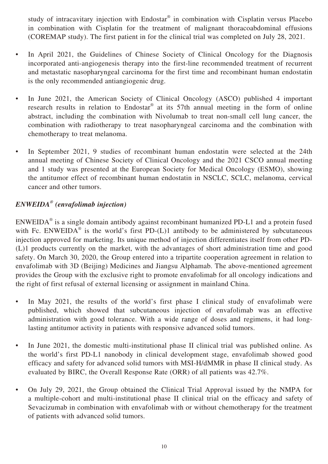study of intracavitary injection with Endostar® in combination with Cisplatin versus Placebo in combination with Cisplatin for the treatment of malignant thoracoabdominal effusions (COREMAP study). The first patient in for the clinical trial was completed on July 28, 2021.

- In April 2021, the Guidelines of Chinese Society of Clinical Oncology for the Diagnosis incorporated anti-angiogenesis therapy into the first-line recommended treatment of recurrent and metastatic nasopharyngeal carcinoma for the first time and recombinant human endostatin is the only recommended antiangiogenic drug.
- In June 2021, the American Society of Clinical Oncology (ASCO) published 4 important research results in relation to Endostar<sup>®</sup> at its 57th annual meeting in the form of online abstract, including the combination with Nivolumab to treat non-small cell lung cancer, the combination with radiotherapy to treat nasopharyngeal carcinoma and the combination with chemotherapy to treat melanoma.
- In September 2021, 9 studies of recombinant human endostatin were selected at the 24th annual meeting of Chinese Society of Clinical Oncology and the 2021 CSCO annual meeting and 1 study was presented at the European Society for Medical Oncology (ESMO), showing the antitumor effect of recombinant human endostatin in NSCLC, SCLC, melanoma, cervical cancer and other tumors.

### *ENWEIDA® (envafolimab injection)*

 $ENWEIDA<sup>®</sup>$  is a single domain antibody against recombinant humanized PD-L1 and a protein fused with Fc. ENWEIDA<sup>®</sup> is the world's first PD- $(L)1$  antibody to be administered by subcutaneous injection approved for marketing. Its unique method of injection differentiates itself from other PD- (L)1 products currently on the market, with the advantages of short administration time and good safety. On March 30, 2020, the Group entered into a tripartite cooperation agreement in relation to envafolimab with 3D (Beijing) Medicines and Jiangsu Alphamab. The above-mentioned agreement provides the Group with the exclusive right to promote envafolimab for all oncology indications and the right of first refusal of external licensing or assignment in mainland China.

- In May 2021, the results of the world's first phase I clinical study of envafolimab were published, which showed that subcutaneous injection of envafolimab was an effective administration with good tolerance. With a wide range of doses and regimens, it had longlasting antitumor activity in patients with responsive advanced solid tumors.
- In June 2021, the domestic multi-institutional phase II clinical trial was published online. As the world's first PD-L1 nanobody in clinical development stage, envafolimab showed good efficacy and safety for advanced solid tumors with MSI-H/dMMR in phase II clinical study. As evaluated by BIRC, the Overall Response Rate (ORR) of all patients was 42.7%.
- On July 29, 2021, the Group obtained the Clinical Trial Approval issued by the NMPA for a multiple-cohort and multi-institutional phase II clinical trial on the efficacy and safety of Sevacizumab in combination with envafolimab with or without chemotherapy for the treatment of patients with advanced solid tumors.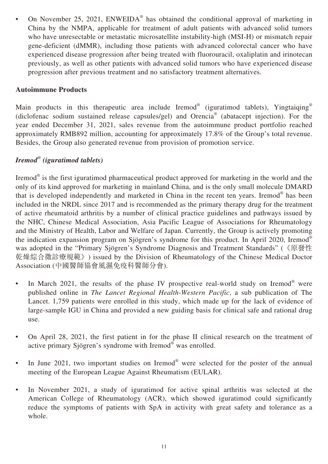• On November 25, 2021,  $ENWEIDA^{\circledast}$  has obtained the conditional approval of marketing in China by the NMPA, applicable for treatment of adult patients with advanced solid tumors who have unresectable or metastatic microsatellite instability-high (MSI-H) or mismatch repair gene-deficient (dMMR), including those patients with advanced colorectal cancer who have experienced disease progression after being treated with fluorouracil, oxaliplatin and irinotecan previously, as well as other patients with advanced solid tumors who have experienced disease progression after previous treatment and no satisfactory treatment alternatives.

#### **Autoimmune Products**

Main products in this therapeutic area include Iremod® (iguratimod tablets), Yingtaiqing® (diclofenac sodium sustained release capsules/gel) and Orencia® (abatacept injection). For the year ended December 31, 2021, sales revenue from the autoimmune product portfolio reached approximately RMB892 million, accounting for approximately 17.8% of the Group's total revenue. Besides, the Group also generated revenue from provision of promotion service.

#### *Iremod® (iguratimod tablets)*

Iremod<sup>®</sup> is the first iguratimod pharmaceutical product approved for marketing in the world and the only of its kind approved for marketing in mainland China, and is the only small molecule DMARD that is developed independently and marketed in China in the recent ten years. Iremod® has been included in the NRDL since 2017 and is recommended as the primary therapy drug for the treatment of active rheumatoid arthritis by a number of clinical practice guidelines and pathways issued by the NHC, Chinese Medical Association, Asia Pacific League of Associations for Rheumatology and the Ministry of Health, Labor and Welfare of Japan. Currently, the Group is actively promoting the indication expansion program on Sjögren's syndrome for this product. In April 2020, Iremod® was adopted in the "Primary Sjögren's Syndrome Diagnosis and Treatment Standards" (《原發性 乾燥綜合徵診療規範》) issued by the Division of Rheumatology of the Chinese Medical Doctor Association (中國醫師協會風濕免疫科醫師分會).

- In March 2021, the results of the phase IV prospective real-world study on Iremod<sup>®</sup> were published online in *The Lancet Regional Health-Western Pacific*, a sub publication of The Lancet. 1,759 patients were enrolled in this study, which made up for the lack of evidence of large-sample IGU in China and provided a new guiding basis for clinical safe and rational drug use.
- On April 28, 2021, the first patient in for the phase II clinical research on the treatment of active primary Sjögren's syndrome with Iremod® was enrolled.
- In June 2021, two important studies on Iremod® were selected for the poster of the annual meeting of the European League Against Rheumatism (EULAR).
- In November 2021, a study of iguratimod for active spinal arthritis was selected at the American College of Rheumatology (ACR), which showed iguratimod could significantly reduce the symptoms of patients with SpA in activity with great safety and tolerance as a whole.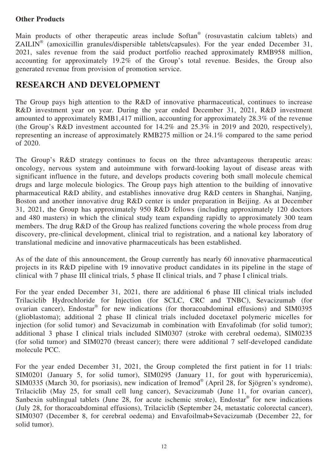#### **Other Products**

Main products of other therapeutic areas include Softan<sup>®</sup> (rosuvastatin calcium tablets) and ZAILIN<sup>®</sup> (amoxicillin granules/dispersible tablets/capsules). For the year ended December 31, 2021, sales revenue from the said product portfolio reached approximately RMB958 million, accounting for approximately  $19.2\%$  of the Group's total revenue. Besides, the Group also generated revenue from provision of promotion service.

# **RESEARCH AND DEVELOPMENT**

The Group pays high attention to the R&D of innovative pharmaceutical, continues to increase R&D investment year on year. During the year ended December 31, 2021, R&D investment amounted to approximately RMB1,417 million, accounting for approximately 28.3% of the revenue (the Group's R&D investment accounted for 14.2% and 25.3% in 2019 and 2020, respectively), representing an increase of approximately RMB275 million or 24.1% compared to the same period of 2020.

The Group's R&D strategy continues to focus on the three advantageous therapeutic areas: oncology, nervous system and autoimmune with forward-looking layout of disease areas with significant influence in the future, and develops products covering both small molecule chemical drugs and large molecule biologics. The Group pays high attention to the building of innovative pharmaceutical R&D ability, and establishes innovative drug R&D centers in Shanghai, Nanjing, Boston and another innovative drug R&D center is under preparation in Beijing. As at December 31, 2021, the Group has approximately 950 R&D fellows (including approximately 120 doctors and 480 masters) in which the clinical study team expanding rapidly to approximately 300 team members. The drug R&D of the Group has realized functions covering the whole process from drug discovery, pre-clinical development, clinical trial to registration, and a national key laboratory of translational medicine and innovative pharmaceuticals has been established.

As of the date of this announcement, the Group currently has nearly 60 innovative pharmaceutical projects in its R&D pipeline with 19 innovative product candidates in its pipeline in the stage of clinical with 7 phase III clinical trials, 5 phase II clinical trials, and 7 phase I clinical trials.

For the year ended December 31, 2021, there are additional 6 phase III clinical trials included Trilaciclib Hydrochloride for Injection (for SCLC, CRC and TNBC), Sevacizumab (for ovarian cancer), Endostar® for new indications (for thoracoabdominal effusions) and SIM0395 (glioblastoma); additional 2 phase II clinical trials included docetaxel polymeric micelles for injection (for solid tumor) and Sevacizumab in combination with Envafolimab (for solid tumor); additional 3 phase I clinical trials included SIM0307 (stroke with cerebral oedema), SIM0235 (for solid tumor) and SIM0270 (breast cancer); there were additional 7 self-developed candidate molecule PCC.

For the year ended December 31, 2021, the Group completed the first patient in for 11 trials: SIM0201 (January 5, for solid tumor), SIM0295 (January 11, for gout with hyperuricemia), SIM0335 (March 30, for psoriasis), new indication of Iremod® (April 28, for Sjögren's syndrome), Trilaciclib (May 25, for small cell lung cancer), Sevacizumab (June 11, for ovarian cancer), Sanbexin sublingual tablets (June 28, for acute ischemic stroke), Endostar<sup>®</sup> for new indications (July 28, for thoracoabdominal effusions), Trilaciclib (September 24, metastatic colorectal cancer), SIM0307 (December 8, for cerebral oedema) and Envafoilmab+Sevacizumab (December 22, for solid tumor).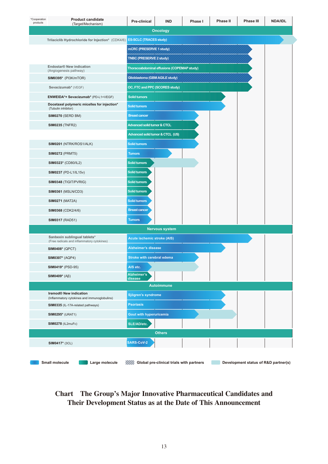| *Cooperation<br>products | <b>Product candidate</b><br>(Target/Mechanism)                             | Pre-clinical                           | <b>IND</b>                                 | Phase I | Phase II | <b>Phase III</b> | <b>NDA/IDL</b> |
|--------------------------|----------------------------------------------------------------------------|----------------------------------------|--------------------------------------------|---------|----------|------------------|----------------|
|                          |                                                                            |                                        | <b>Oncology</b>                            |         |          |                  |                |
|                          | Trilaciclib Hydrochloride for Injection* (CDK4/6)                          | <b>ES-SCLC (TRACES study)</b>          |                                            |         |          |                  |                |
|                          |                                                                            | mCRC (PRESERVE 1 study)                |                                            |         |          |                  |                |
|                          |                                                                            | <b>TNBC (PRESERVE 2 study)</b>         |                                            |         |          |                  |                |
|                          | Endostar® New indication<br>(Angiogenesis pathway)                         |                                        | Thoracoabdominal effusions (COPEMAP study) |         |          |                  |                |
|                          | SIM0395* (PI3K/mTOR)                                                       | <b>Glioblastoma (GBM AGILE study)</b>  |                                            |         |          |                  |                |
|                          | Sevacizumab* (VEGF)                                                        | OC, FTC and PPC (SCORES study)         |                                            |         |          |                  |                |
|                          | ENWEIDA*+ Sevacizumab* (PD-L1+VEGF)                                        | <b>Solid tumors</b>                    |                                            |         |          |                  |                |
|                          | Docetaxel polymeric micelles for injection*<br>(Tubulin inhibitor)         | <b>Solid tumors</b>                    |                                            |         |          |                  |                |
|                          | SIM0270 (SERD BM)                                                          | <b>Breast cancer</b>                   |                                            |         |          |                  |                |
|                          | <b>SIM0235 (TNFR2)</b>                                                     | <b>Advanced solid tumor &amp; CTCL</b> |                                            |         |          |                  |                |
|                          |                                                                            | Advanced solid tumor & CTCL (US)       |                                            |         |          |                  |                |
|                          | SIM0201 (NTRK/ROS1/ALK)                                                    | <b>Solid tumors</b>                    |                                            |         |          |                  |                |
|                          | <b>SIM0272</b> (PRMT5)                                                     | <b>Tumors</b>                          |                                            |         |          |                  |                |
|                          | <b>SIM0323*</b> (CD80/IL2)                                                 | <b>Solid tumors</b>                    |                                            |         |          |                  |                |
|                          | <b>SIM0237 (PD-L1/IL15v)</b>                                               | <b>Solid tumors</b>                    |                                            |         |          |                  |                |
|                          | SIM0348 (TIGIT/PVRIG)                                                      | <b>Solid tumors</b>                    |                                            |         |          |                  |                |
|                          | <b>SIM0361 (MSLN/CD3)</b>                                                  | <b>Solid tumors</b>                    |                                            |         |          |                  |                |
|                          | <b>SIM0271 (MAT2A)</b>                                                     | <b>Solid tumors</b>                    |                                            |         |          |                  |                |
|                          | <b>SIM0368 (CDK2/4/6)</b>                                                  | <b>Breast cancer</b>                   |                                            |         |          |                  |                |
|                          | <b>SIM0317 (RAD51)</b>                                                     | <b>Tumors</b>                          |                                            |         |          |                  |                |
|                          |                                                                            |                                        | <b>Nervous system</b>                      |         |          |                  |                |
|                          | Sanbexin sublingual tablets*<br>(Free radicals and inflammatory cytokines) | <b>Acute ischemic stroke (AIS)</b>     |                                            |         |          |                  |                |
|                          | <b>SIM0408*</b> (QPCT)                                                     | <b>Alzheimer's disease</b>             |                                            |         |          |                  |                |
|                          | <b>SIM0307*</b> (AQP4)                                                     | Stroke with cerebral edema             |                                            |         |          |                  |                |
|                          | <b>SIM0419*</b> (PSD-95)                                                   | AIS etc.                               |                                            |         |          |                  |                |
|                          | SIM0409 $*(A\beta)$                                                        | Alzheimer's<br>disease                 |                                            |         |          |                  |                |
|                          |                                                                            |                                        | <b>Autoimmune</b>                          |         |          |                  |                |
|                          | Iremod® New indication<br>(Inflammatory cytokines and immunoglobulins)     | Sjögren's syndrome                     |                                            |         |          |                  |                |
|                          | SIM0335 (IL-17A-related pathways)                                          | <b>Psoriasis</b>                       |                                            |         |          |                  |                |
|                          | <b>SIM0295*</b> (URAT1)                                                    | <b>Gout with hyperuricemia</b>         |                                            |         |          |                  |                |
|                          | <b>SIM0278 (IL2muFc)</b>                                                   | SLE/AD/etc.                            |                                            |         |          |                  |                |
|                          |                                                                            |                                        | <b>Others</b>                              |         |          |                  |                |
|                          | <b>SIM0417*</b> (3CL)                                                      | <b>SARS-CoV-2</b>                      |                                            |         |          |                  |                |

#### **Chart The Group's Major Innovative Pharmaceutical Candidates and Their Development Status as at the Date of This Announcement**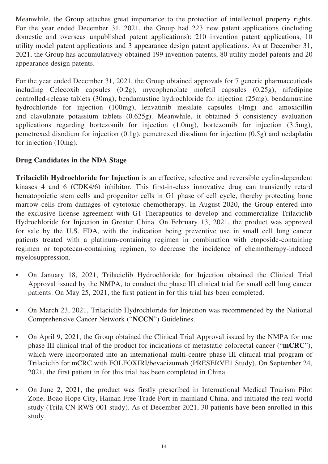Meanwhile, the Group attaches great importance to the protection of intellectual property rights. For the year ended December 31, 2021, the Group had 223 new patent applications (including domestic and overseas unpublished patent applications): 210 invention patent applications, 10 utility model patent applications and 3 appearance design patent applications. As at December 31, 2021, the Group has accumulatively obtained 199 invention patents, 80 utility model patents and 20 appearance design patents.

For the year ended December 31, 2021, the Group obtained approvals for 7 generic pharmaceuticals including Celecoxib capsules (0.2g), mycophenolate mofetil capsules (0.25g), nifedipine controlled-release tablets (30mg), bendamustine hydrochloride for injection (25mg), bendamustine hydrochloride for injection (100mg), lenvatinib mesilate capsules (4mg) and amoxicillin and clavulanate potassium tablets (0.625g). Meanwhile, it obtained 5 consistency evaluation applications regarding bortezomib for injection (1.0mg), bortezomib for injection (3.5mg), pemetrexed disodium for injection (0.1g), pemetrexed disodium for injection (0.5g) and nedaplatin for injection (10mg).

#### **Drug Candidates in the NDA Stage**

**Trilaciclib Hydrochloride for Injection** is an effective, selective and reversible cyclin-dependent kinases 4 and 6 (CDK4/6) inhibitor. This first-in-class innovative drug can transiently retard hematopoietic stem cells and progenitor cells in G1 phase of cell cycle, thereby protecting bone marrow cells from damages of cytotoxic chemotherapy. In August 2020, the Group entered into the exclusive license agreement with G1 Therapeutics to develop and commercialize Trilaciclib Hydrochloride for Injection in Greater China. On February 13, 2021, the product was approved for sale by the U.S. FDA, with the indication being preventive use in small cell lung cancer patients treated with a platinum-containing regimen in combination with etoposide-containing regimen or topotecan-containing regimen, to decrease the incidence of chemotherapy-induced myelosuppression.

- On January 18, 2021, Trilaciclib Hydrochloride for Injection obtained the Clinical Trial Approval issued by the NMPA, to conduct the phase III clinical trial for small cell lung cancer patients. On May 25, 2021, the first patient in for this trial has been completed.
- On March 23, 2021, Trilaciclib Hydrochloride for Injection was recommended by the National Comprehensive Cancer Network ("**NCCN**") Guidelines.
- On April 9, 2021, the Group obtained the Clinical Trial Approval issued by the NMPA for one phase III clinical trial of the product for indications of metastatic colorectal cancer ("**mCRC**"), which were incorporated into an international multi-centre phase III clinical trial program of Trilaciclib for mCRC with FOLFOXIRI/bevacizumab (PRESERVE1 Study). On September 24, 2021, the first patient in for this trial has been completed in China.
- On June 2, 2021, the product was firstly prescribed in International Medical Tourism Pilot Zone, Boao Hope City, Hainan Free Trade Port in mainland China, and initiated the real world study (Trila-CN-RWS-001 study). As of December 2021, 30 patients have been enrolled in this study.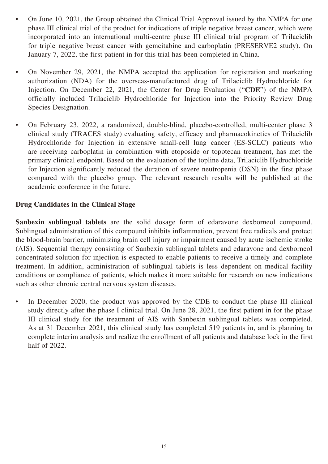- On June 10, 2021, the Group obtained the Clinical Trial Approval issued by the NMPA for one phase III clinical trial of the product for indications of triple negative breast cancer, which were incorporated into an international multi-centre phase III clinical trial program of Trilaciclib for triple negative breast cancer with gemcitabine and carboplatin (PRESERVE2 study). On January 7, 2022, the first patient in for this trial has been completed in China.
- On November 29, 2021, the NMPA accepted the application for registration and marketing authorization (NDA) for the overseas-manufactured drug of Trilaciclib Hydrochloride for Injection. On December 22, 2021, the Center for Drug Evaluation ("**CDE**") of the NMPA officially included Trilaciclib Hydrochloride for Injection into the Priority Review Drug Species Designation.
- On February 23, 2022, a randomized, double-blind, placebo-controlled, multi-center phase 3 clinical study (TRACES study) evaluating safety, efficacy and pharmacokinetics of Trilaciclib Hydrochloride for Injection in extensive small-cell lung cancer (ES-SCLC) patients who are receiving carboplatin in combination with etoposide or topotecan treatment, has met the primary clinical endpoint. Based on the evaluation of the topline data, Trilaciclib Hydrochloride for Injection significantly reduced the duration of severe neutropenia (DSN) in the first phase compared with the placebo group. The relevant research results will be published at the academic conference in the future.

#### **Drug Candidates in the Clinical Stage**

**Sanbexin sublingual tablets** are the solid dosage form of edaravone dexborneol compound. Sublingual administration of this compound inhibits inflammation, prevent free radicals and protect the blood-brain barrier, minimizing brain cell injury or impairment caused by acute ischemic stroke (AIS). Sequential therapy consisting of Sanbexin sublingual tablets and edaravone and dexborneol concentrated solution for injection is expected to enable patients to receive a timely and complete treatment. In addition, administration of sublingual tablets is less dependent on medical facility conditions or compliance of patients, which makes it more suitable for research on new indications such as other chronic central nervous system diseases.

• In December 2020, the product was approved by the CDE to conduct the phase III clinical study directly after the phase I clinical trial. On June 28, 2021, the first patient in for the phase III clinical study for the treatment of AIS with Sanbexin sublingual tablets was completed. As at 31 December 2021, this clinical study has completed 519 patients in, and is planning to complete interim analysis and realize the enrollment of all patients and database lock in the first half of 2022.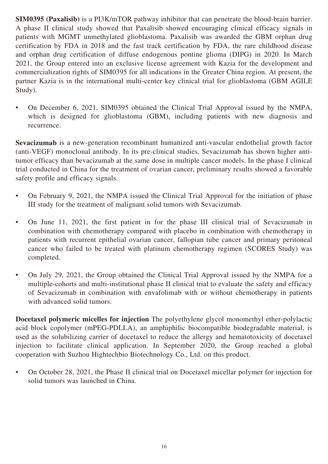**SIM0395 (Paxalisib)** is a PI3K/mTOR pathway inhibitor that can penetrate the blood-brain barrier. A phase II clinical study showed that Paxalisib showed encouraging clinical efficacy signals in patients with MGMT unmethylated glioblastoma. Paxalisib was awarded the GBM orphan drug certification by FDA in 2018 and the fast track certification by FDA, the rare childhood disease and orphan drug certification of diffuse endogenous pontine glioma (DIPG) in 2020. In March 2021, the Group entered into an exclusive license agreement with Kazia for the development and commercialization rights of SIM0395 for all indications in the Greater China region. At present, the partner Kazia is in the international multi-center key clinical trial for glioblastoma (GBM AGILE Study).

• On December 6, 2021, SIM0395 obtained the Clinical Trial Approval issued by the NMPA, which is designed for glioblastoma (GBM), including patients with new diagnosis and recurrence.

**Sevacizumab** is a new-generation recombinant humanized anti-vascular endothelial growth factor (anti-VEGF) monoclonal antibody. In its pre-clinical studies, Sevacizumab has shown higher antitumor efficacy than bevacizumab at the same dose in multiple cancer models. In the phase I clinical trial conducted in China for the treatment of ovarian cancer, preliminary results showed a favorable safety profile and efficacy signals.

- On February 9, 2021, the NMPA issued the Clinical Trial Approval for the initiation of phase III study for the treatment of malignant solid tumors with Sevacizumab.
- On June 11, 2021, the first patient in for the phase III clinical trial of Sevacizumab in combination with chemotherapy compared with placebo in combination with chemotherapy in patients with recurrent epithelial ovarian cancer, fallopian tube cancer and primary peritoneal cancer who failed to be treated with platinum chemotherapy regimen (SCORES Study) was completed.
- On July 29, 2021, the Group obtained the Clinical Trial Approval issued by the NMPA for a multiple-cohorts and multi-institutional phase II clinical trial to evaluate the safety and efficacy of Sevacizumab in combination with envafolimab with or without chemotherapy in patients with advanced solid tumors.

**Docetaxel polymeric micelles for injection** The polyethylene glycol monomethyl ether-polylactic acid block copolymer (mPEG-PDLLA), an amphiphilic biocompatible biodegradable material, is used as the solubilizing carrier of docetaxel to reduce the allergy and hematotoxicity of docetaxel injection to facilitate clinical application. In September 2020, the Group reached a global cooperation with Suzhou Hightechbio Biotechnology Co., Ltd. on this product.

• On October 28, 2021, the Phase II clinical trial on Docetaxel micellar polymer for injection for solid tumors was launched in China.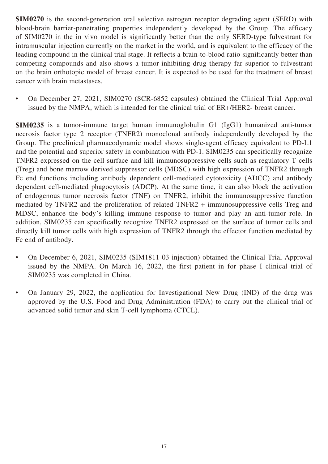**SIM0270** is the second-generation oral selective estrogen receptor degrading agent (SERD) with blood-brain barrier-penetrating properties independently developed by the Group. The efficacy of SIM0270 in the in vivo model is significantly better than the only SERD-type fulvestrant for intramuscular injection currently on the market in the world, and is equivalent to the efficacy of the leading compound in the clinical trial stage. It reflects a brain-to-blood ratio significantly better than competing compounds and also shows a tumor-inhibiting drug therapy far superior to fulvestrant on the brain orthotopic model of breast cancer. It is expected to be used for the treatment of breast cancer with brain metastases.

• On December 27, 2021, SIM0270 (SCR-6852 capsules) obtained the Clinical Trial Approval issued by the NMPA, which is intended for the clinical trial of ER+/HER2- breast cancer.

**SIM0235** is a tumor-immune target human immunoglobulin G1 (IgG1) humanized anti-tumor necrosis factor type 2 receptor (TNFR2) monoclonal antibody independently developed by the Group. The preclinical pharmacodynamic model shows single-agent efficacy equivalent to PD-L1 and the potential and superior safety in combination with PD-1. SIM0235 can specifically recognize TNFR2 expressed on the cell surface and kill immunosuppressive cells such as regulatory T cells (Treg) and bone marrow derived suppressor cells (MDSC) with high expression of TNFR2 through Fc end functions including antibody dependent cell-mediated cytotoxicity (ADCC) and antibody dependent cell-mediated phagocytosis (ADCP). At the same time, it can also block the activation of endogenous tumor necrosis factor (TNF) on TNFR2, inhibit the immunosuppressive function mediated by TNFR2 and the proliferation of related TNFR2 + immunosuppressive cells Treg and MDSC, enhance the body's killing immune response to tumor and play an anti-tumor role. In addition, SIM0235 can specifically recognize TNFR2 expressed on the surface of tumor cells and directly kill tumor cells with high expression of TNFR2 through the effector function mediated by Fc end of antibody.

- On December 6, 2021, SIM0235 (SIM1811-03 injection) obtained the Clinical Trial Approval issued by the NMPA. On March 16, 2022, the first patient in for phase I clinical trial of SIM0235 was completed in China.
- On January 29, 2022, the application for Investigational New Drug (IND) of the drug was approved by the U.S. Food and Drug Administration (FDA) to carry out the clinical trial of advanced solid tumor and skin T-cell lymphoma (CTCL).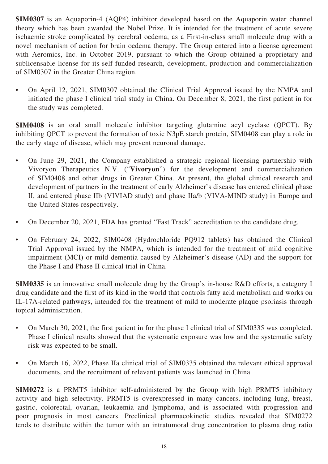**SIM0307** is an Aquaporin-4 (AQP4) inhibitor developed based on the Aquaporin water channel theory which has been awarded the Nobel Prize. It is intended for the treatment of acute severe ischaemic stroke complicated by cerebral oedema, as a First-in-class small molecule drug with a novel mechanism of action for brain oedema therapy. The Group entered into a license agreement with Aeromics, Inc. in October 2019, pursuant to which the Group obtained a proprietary and sublicensable license for its self-funded research, development, production and commercialization of SIM0307 in the Greater China region.

• On April 12, 2021, SIM0307 obtained the Clinical Trial Approval issued by the NMPA and initiated the phase I clinical trial study in China. On December 8, 2021, the first patient in for the study was completed.

**SIM0408** is an oral small molecule inhibitor targeting glutamine acyl cyclase (QPCT). By inhibiting QPCT to prevent the formation of toxic N3pE starch protein, SIM0408 can play a role in the early stage of disease, which may prevent neuronal damage.

- On June 29, 2021, the Company established a strategic regional licensing partnership with Vivoryon Therapeutics N.V. ("**Vivoryon**") for the development and commercialization of SIM0408 and other drugs in Greater China. At present, the global clinical research and development of partners in the treatment of early Alzheimer's disease has entered clinical phase II, and entered phase IIb (VIVIAD study) and phase IIa/b (VIVA-MIND study) in Europe and the United States respectively.
- On December 20, 2021, FDA has granted "Fast Track" accreditation to the candidate drug.
- On February 24, 2022, SIM0408 (Hydrochloride PQ912 tablets) has obtained the Clinical Trial Approval issued by the NMPA, which is intended for the treatment of mild cognitive impairment (MCI) or mild dementia caused by Alzheimer's disease (AD) and the support for the Phase I and Phase II clinical trial in China.

**SIM0335** is an innovative small molecule drug by the Group's in-house R&D efforts, a category I drug candidate and the first of its kind in the world that controls fatty acid metabolism and works on IL-17A-related pathways, intended for the treatment of mild to moderate plaque psoriasis through topical administration.

- On March 30, 2021, the first patient in for the phase I clinical trial of SIM0335 was completed. Phase I clinical results showed that the systematic exposure was low and the systematic safety risk was expected to be small.
- On March 16, 2022, Phase IIa clinical trial of SIM0335 obtained the relevant ethical approval documents, and the recruitment of relevant patients was launched in China.

**SIM0272** is a PRMT5 inhibitor self-administered by the Group with high PRMT5 inhibitory activity and high selectivity. PRMT5 is overexpressed in many cancers, including lung, breast, gastric, colorectal, ovarian, leukaemia and lymphoma, and is associated with progression and poor prognosis in most cancers. Preclinical pharmacokinetic studies revealed that SIM0272 tends to distribute within the tumor with an intratumoral drug concentration to plasma drug ratio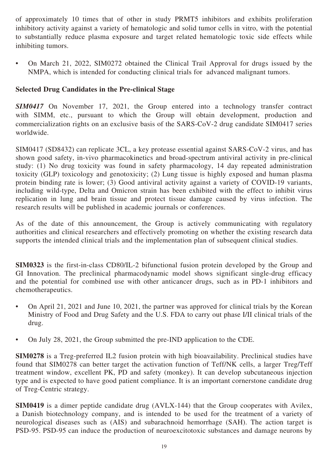of approximately 10 times that of other in study PRMT5 inhibitors and exhibits proliferation inhibitory activity against a variety of hematologic and solid tumor cells in vitro, with the potential to substantially reduce plasma exposure and target related hematologic toxic side effects while inhibiting tumors.

• On March 21, 2022, SIM0272 obtained the Clinical Trail Approval for drugs issued by the NMPA, which is intended for conducting clinical trials for advanced malignant tumors.

#### **Selected Drug Candidates in the Pre-clinical Stage**

*SIM0417* On November 17, 2021, the Group entered into a technology transfer contract with SIMM, etc., pursuant to which the Group will obtain development, production and commercialization rights on an exclusive basis of the SARS-CoV-2 drug candidate SIM0417 series worldwide.

SIM0417 (SD8432) can replicate 3CL, a key protease essential against SARS-CoV-2 virus, and has shown good safety, in-vivo pharmacokinetics and broad-spectrum antiviral activity in pre-clinical study: (1) No drug toxicity was found in safety pharmacology, 14 day repeated administration toxicity (GLP) toxicology and genotoxicity; (2) Lung tissue is highly exposed and human plasma protein binding rate is lower; (3) Good antiviral activity against a variety of COVID-19 variants, including wild-type, Delta and Omicron strain has been exhibited with the effect to inhibit virus replication in lung and brain tissue and protect tissue damage caused by virus infection. The research results will be published in academic journals or conferences.

As of the date of this announcement, the Group is actively communicating with regulatory authorities and clinical researchers and effectively promoting on whether the existing research data supports the intended clinical trials and the implementation plan of subsequent clinical studies.

**SIM0323** is the first-in-class CD80/IL-2 bifunctional fusion protein developed by the Group and GI Innovation. The preclinical pharmacodynamic model shows significant single-drug efficacy and the potential for combined use with other anticancer drugs, such as in PD-1 inhibitors and chemotherapeutics.

- On April 21, 2021 and June 10, 2021, the partner was approved for clinical trials by the Korean Ministry of Food and Drug Safety and the U.S. FDA to carry out phase I/II clinical trials of the drug.
- On July 28, 2021, the Group submitted the pre-IND application to the CDE.

**SIM0278** is a Treg-preferred IL2 fusion protein with high bioavailability. Preclinical studies have found that SIM0278 can better target the activation function of Teff/NK cells, a larger Treg/Teff treatment window, excellent PK, PD and safety (monkey). It can develop subcutaneous injection type and is expected to have good patient compliance. It is an important cornerstone candidate drug of Treg-Centric strategy.

**SIM0419** is a dimer peptide candidate drug (AVLX-144) that the Group cooperates with Avilex, a Danish biotechnology company, and is intended to be used for the treatment of a variety of neurological diseases such as (AIS) and subarachnoid hemorrhage (SAH). The action target is PSD-95. PSD-95 can induce the production of neuroexcitotoxic substances and damage neurons by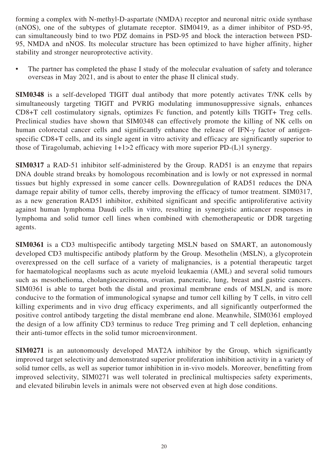forming a complex with N-methyl-D-aspartate (NMDA) receptor and neuronal nitric oxide synthase (nNOS), one of the subtypes of glutamate receptor. SIM0419, as a dimer inhibitor of PSD-95, can simultaneously bind to two PDZ domains in PSD-95 and block the interaction between PSD-95, NMDA and nNOS. Its molecular structure has been optimized to have higher affinity, higher stability and stronger neuroprotective activity.

• The partner has completed the phase I study of the molecular evaluation of safety and tolerance overseas in May 2021, and is about to enter the phase II clinical study.

**SIM0348** is a self-developed TIGIT dual antibody that more potently activates T/NK cells by simultaneously targeting TIGIT and PVRIG modulating immunosuppressive signals, enhances CD8+T cell costimulatory signals, optimizes Fc function, and potently kills TIGIT+ Treg cells. Preclinical studies have shown that SIM0348 can effectively promote the killing of NK cells on human colorectal cancer cells and significantly enhance the release of IFN-γ factor of antigenspecific CD8+T cells, and its single agent in vitro activity and efficacy are significantly superior to those of Tiragolumab, achieving 1+1>2 efficacy with more superior PD-(L)1 synergy.

**SIM0317** a RAD-51 inhibitor self-administered by the Group. RAD51 is an enzyme that repairs DNA double strand breaks by homologous recombination and is lowly or not expressed in normal tissues but highly expressed in some cancer cells. Downregulation of RAD51 reduces the DNA damage repair ability of tumor cells, thereby improving the efficacy of tumor treatment. SIM0317, as a new generation RAD51 inhibitor, exhibited significant and specific antiproliferative activity against human lymphoma Daudi cells in vitro, resulting in synergistic anticancer responses in lymphoma and solid tumor cell lines when combined with chemotherapeutic or DDR targeting agents.

**SIM0361** is a CD3 multispecific antibody targeting MSLN based on SMART, an autonomously developed CD3 multispecific antibody platform by the Group. Mesothelin (MSLN), a glycoprotein overexpressed on the cell surface of a variety of malignancies, is a potential therapeutic target for haematological neoplasms such as acute myeloid leukaemia (AML) and several solid tumours such as mesothelioma, cholangiocarcinoma, ovarian, pancreatic, lung, breast and gastric cancers. SIM0361 is able to target both the distal and proximal membrane ends of MSLN, and is more conducive to the formation of immunological synapse and tumor cell killing by T cells, in vitro cell killing experiments and in vivo drug efficacy experiments, and all significantly outperformed the positive control antibody targeting the distal membrane end alone. Meanwhile, SIM0361 employed the design of a low affinity CD3 terminus to reduce Treg priming and T cell depletion, enhancing their anti-tumor effects in the solid tumor microenvironment.

**SIM0271** is an autonomously developed MAT2A inhibitor by the Group, which significantly improved target selectivity and demonstrated superior proliferation inhibition activity in a variety of solid tumor cells, as well as superior tumor inhibition in in-vivo models. Moreover, benefitting from improved selectivity, SIM0271 was well tolerated in preclinical multispecies safety experiments, and elevated bilirubin levels in animals were not observed even at high dose conditions.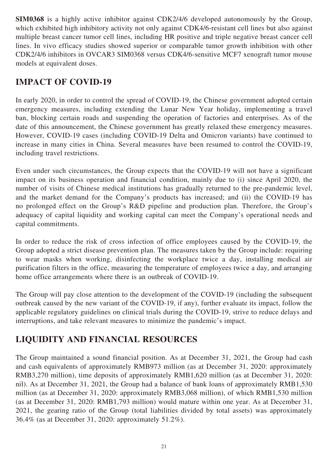**SIM0368** is a highly active inhibitor against CDK2/4/6 developed autonomously by the Group, which exhibited high inhibitory activity not only against CDK4/6-resistant cell lines but also against multiple breast cancer tumor cell lines, including HR positive and triple negative breast cancer cell lines. In vivo efficacy studies showed superior or comparable tumor growth inhibition with other CDK2/4/6 inhibitors in OVCAR3 SIM0368 versus CDK4/6-sensitive MCF7 xenograft tumor mouse models at equivalent doses.

# **IMPACT OF COVID-19**

In early 2020, in order to control the spread of COVID-19, the Chinese government adopted certain emergency measures, including extending the Lunar New Year holiday, implementing a travel ban, blocking certain roads and suspending the operation of factories and enterprises. As of the date of this announcement, the Chinese government has greatly relaxed these emergency measures. However, COVID-19 cases (including COVID-19 Delta and Omicron variants) have continued to increase in many cities in China. Several measures have been resumed to control the COVID-19, including travel restrictions.

Even under such circumstances, the Group expects that the COVID-19 will not have a significant impact on its business operation and financial condition, mainly due to (i) since April 2020, the number of visits of Chinese medical institutions has gradually returned to the pre-pandemic level, and the market demand for the Company's products has increased; and (ii) the COVID-19 has no prolonged effect on the Group's R&D pipeline and production plan. Therefore, the Group's adequacy of capital liquidity and working capital can meet the Company's operational needs and capital commitments.

In order to reduce the risk of cross infection of office employees caused by the COVID-19, the Group adopted a strict disease prevention plan. The measures taken by the Group include: requiring to wear masks when working, disinfecting the workplace twice a day, installing medical air purification filters in the office, measuring the temperature of employees twice a day, and arranging home office arrangements where there is an outbreak of COVID-19.

The Group will pay close attention to the development of the COVID-19 (including the subsequent outbreak caused by the new variant of the COVID-19, if any), further evaluate its impact, follow the applicable regulatory guidelines on clinical trials during the COVID-19, strive to reduce delays and interruptions, and take relevant measures to minimize the pandemic's impact.

# **LIQUIDITY AND FINANCIAL RESOURCES**

The Group maintained a sound financial position. As at December 31, 2021, the Group had cash and cash equivalents of approximately RMB973 million (as at December 31, 2020: approximately RMB3,270 million), time deposits of approximately RMB1,620 million (as at December 31, 2020: nil). As at December 31, 2021, the Group had a balance of bank loans of approximately RMB1,530 million (as at December 31, 2020: approximately RMB3,068 million), of which RMB1,530 million (as at December 31, 2020: RMB1,793 million) would mature within one year. As at December 31, 2021, the gearing ratio of the Group (total liabilities divided by total assets) was approximately 36.4% (as at December 31, 2020: approximately 51.2%).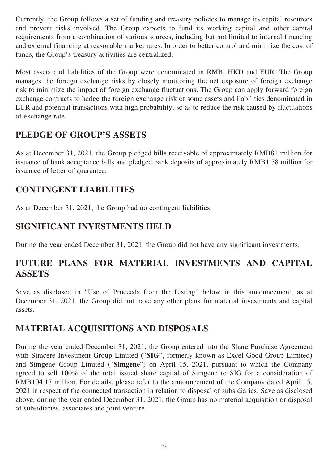Currently, the Group follows a set of funding and treasury policies to manage its capital resources and prevent risks involved. The Group expects to fund its working capital and other capital requirements from a combination of various sources, including but not limited to internal financing and external financing at reasonable market rates. In order to better control and minimize the cost of funds, the Group's treasury activities are centralized.

Most assets and liabilities of the Group were denominated in RMB, HKD and EUR. The Group manages the foreign exchange risks by closely monitoring the net exposure of foreign exchange risk to minimize the impact of foreign exchange fluctuations. The Group can apply forward foreign exchange contracts to hedge the foreign exchange risk of some assets and liabilities denominated in EUR and potential transactions with high probability, so as to reduce the risk caused by fluctuations of exchange rate.

# **PLEDGE OF GROUP'S ASSETS**

As at December 31, 2021, the Group pledged bills receivable of approximately RMB81 million for issuance of bank acceptance bills and pledged bank deposits of approximately RMB1.58 million for issuance of letter of guarantee.

# **CONTINGENT LIABILITIES**

As at December 31, 2021, the Group had no contingent liabilities.

### **SIGNIFICANT INVESTMENTS HELD**

During the year ended December 31, 2021, the Group did not have any significant investments.

# **FUTURE PLANS FOR MATERIAL INVESTMENTS AND CAPITAL ASSETS**

Save as disclosed in "Use of Proceeds from the Listing" below in this announcement, as at December 31, 2021, the Group did not have any other plans for material investments and capital assets.

### **MATERIAL ACQUISITIONS AND DISPOSALS**

During the year ended December 31, 2021, the Group entered into the Share Purchase Agreement with Simcere Investment Group Limited ("**SIG**", formerly known as Excel Good Group Limited) and Simgene Group Limited ("**Simgene**") on April 15, 2021, pursuant to which the Company agreed to sell 100% of the total issued share capital of Simgene to SIG for a consideration of RMB104.17 million. For details, please refer to the announcement of the Company dated April 15, 2021 in respect of the connected transaction in relation to disposal of subsidiaries. Save as disclosed above, during the year ended December 31, 2021, the Group has no material acquisition or disposal of subsidiaries, associates and joint venture.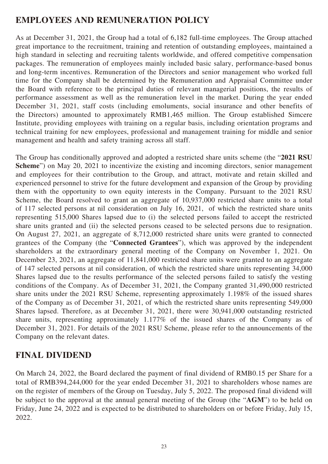# **EMPLOYEES AND REMUNERATION POLICY**

As at December 31, 2021, the Group had a total of 6,182 full-time employees. The Group attached great importance to the recruitment, training and retention of outstanding employees, maintained a high standard in selecting and recruiting talents worldwide, and offered competitive compensation packages. The remuneration of employees mainly included basic salary, performance-based bonus and long-term incentives. Remuneration of the Directors and senior management who worked full time for the Company shall be determined by the Remuneration and Appraisal Committee under the Board with reference to the principal duties of relevant managerial positions, the results of performance assessment as well as the remuneration level in the market. During the year ended December 31, 2021, staff costs (including emoluments, social insurance and other benefits of the Directors) amounted to approximately RMB1,465 million. The Group established Simcere Institute, providing employees with training on a regular basis, including orientation programs and technical training for new employees, professional and management training for middle and senior management and health and safety training across all staff.

The Group has conditionally approved and adopted a restricted share units scheme (the "**2021 RSU Scheme**") on May 20, 2021 to incentivize the existing and incoming directors, senior management and employees for their contribution to the Group, and attract, motivate and retain skilled and experienced personnel to strive for the future development and expansion of the Group by providing them with the opportunity to own equity interests in the Company. Pursuant to the 2021 RSU Scheme, the Board resolved to grant an aggregate of 10,937,000 restricted share units to a total of 117 selected persons at nil consideration on July 16, 2021, of which the restricted share units representing 515,000 Shares lapsed due to (i) the selected persons failed to accept the restricted share units granted and (ii) the selected persons ceased to be selected persons due to resignation. On August 27, 2021, an aggregate of 8,712,000 restricted share units were granted to connected grantees of the Company (the "**Connected Grantees**"), which was approved by the independent shareholders at the extraordinary general meeting of the Company on November 1, 2021. On December 23, 2021, an aggregate of 11,841,000 restricted share units were granted to an aggregate of 147 selected persons at nil consideration, of which the restricted share units representing 34,000 Shares lapsed due to the results performance of the selected persons failed to satisfy the vesting conditions of the Company. As of December 31, 2021, the Company granted 31,490,000 restricted share units under the 2021 RSU Scheme, representing approximately 1.198% of the issued shares of the Company as of December 31, 2021, of which the restricted share units representing 549,000 Shares lapsed. Therefore, as at December 31, 2021, there were 30,941,000 outstanding restricted share units, representing approximately 1.177% of the issued shares of the Company as of December 31, 2021. For details of the 2021 RSU Scheme, please refer to the announcements of the Company on the relevant dates.

### **FINAL DIVIDEND**

On March 24, 2022, the Board declared the payment of final dividend of RMB0.15 per Share for a total of RMB394,244,000 for the year ended December 31, 2021 to shareholders whose names are on the register of members of the Group on Tuesday, July 5, 2022. The proposed final dividend will be subject to the approval at the annual general meeting of the Group (the "**AGM**") to be held on Friday, June 24, 2022 and is expected to be distributed to shareholders on or before Friday, July 15, 2022.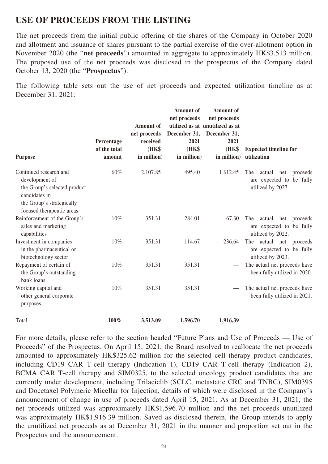### **USE OF PROCEEDS FROM THE LISTING**

The net proceeds from the initial public offering of the shares of the Company in October 2020 and allotment and issuance of shares pursuant to the partial exercise of the over-allotment option in November 2020 (the "**net proceeds**") amounted in aggregate to approximately HK\$3,513 million. The proposed use of the net proceeds was disclosed in the prospectus of the Company dated October 13, 2020 (the "**Prospectus**").

The following table sets out the use of net proceeds and expected utilization timeline as at December 31, 2021:

| <b>Purpose</b>                                                                                                                                      | Percentage<br>of the total<br>amount | <b>Amount</b> of<br>net proceeds<br>received<br><b>(HK\$</b><br>in million) | <b>Amount</b> of<br>net proceeds<br>2021<br>(HK\$<br>in million) | <b>Amount</b> of<br>net proceeds<br>utilized as at unutilized as at<br>December 31, December 31,<br>2021<br><b>(HK\$</b><br>in million) | <b>Expected timeline for</b><br>utilization                                       |
|-----------------------------------------------------------------------------------------------------------------------------------------------------|--------------------------------------|-----------------------------------------------------------------------------|------------------------------------------------------------------|-----------------------------------------------------------------------------------------------------------------------------------------|-----------------------------------------------------------------------------------|
| Continued research and<br>development of<br>the Group's selected product<br>candidates in<br>the Group's strategically<br>focused therapeutic areas | 60%                                  | 2,107.85                                                                    | 495.40                                                           | 1,612.45                                                                                                                                | The<br>actual<br>net<br>proceeds<br>are expected to be fully<br>utilized by 2027. |
| Reinforcement of the Group's<br>sales and marketing<br>capabilities                                                                                 | 10%                                  | 351.31                                                                      | 284.01                                                           | 67.30                                                                                                                                   | The<br>actual<br>net<br>proceeds<br>are expected to be fully<br>utilized by 2022. |
| Investment in companies<br>in the pharmaceutical or<br>biotechnology sector                                                                         | 10%                                  | 351.31                                                                      | 114.67                                                           | 236.64                                                                                                                                  | The<br>actual net<br>proceeds<br>are expected to be fully<br>utilized by 2023.    |
| Repayment of certain of<br>the Group's outstanding<br>bank loans                                                                                    | 10%                                  | 351.31                                                                      | 351.31                                                           |                                                                                                                                         | The actual net proceeds have<br>been fully utilized in 2020.                      |
| Working capital and<br>other general corporate<br>purposes                                                                                          | 10%                                  | 351.31                                                                      | 351.31                                                           |                                                                                                                                         | The actual net proceeds have<br>been fully utilized in 2021.                      |
| Total                                                                                                                                               | $100\%$                              | 3,513.09                                                                    | 1,596.70                                                         | 1,916.39                                                                                                                                |                                                                                   |

For more details, please refer to the section headed "Future Plans and Use of Proceeds — Use of Proceeds" of the Prospectus. On April 15, 2021, the Board resolved to reallocate the net proceeds amounted to approximately HK\$325.62 million for the selected cell therapy product candidates, including CD19 CAR T-cell therapy (Indication 1), CD19 CAR T-cell therapy (Indication 2), BCMA CAR T-cell therapy and SIM0325, to the selected oncology product candidates that are currently under development, including Trilaciclib (SCLC, metastatic CRC and TNBC), SIM0395 and Docetaxel Polymeric Micellar for Injection, details of which were disclosed in the Company's announcement of change in use of proceeds dated April 15, 2021. As at December 31, 2021, the net proceeds utilized was approximately HK\$1,596.70 million and the net proceeds unutilized was approximately HK\$1,916.39 million. Saved as disclosed therein, the Group intends to apply the unutilized net proceeds as at December 31, 2021 in the manner and proportion set out in the Prospectus and the announcement.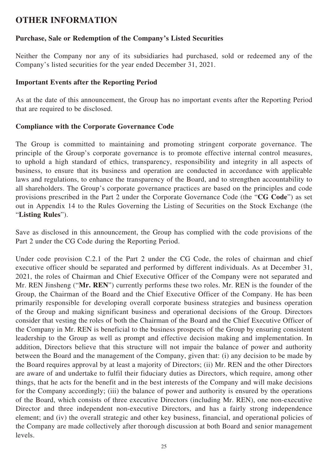### **OTHER INFORMATION**

#### **Purchase, Sale or Redemption of the Company's Listed Securities**

Neither the Company nor any of its subsidiaries had purchased, sold or redeemed any of the Company's listed securities for the year ended December 31, 2021.

#### **Important Events after the Reporting Period**

As at the date of this announcement, the Group has no important events after the Reporting Period that are required to be disclosed.

#### **Compliance with the Corporate Governance Code**

The Group is committed to maintaining and promoting stringent corporate governance. The principle of the Group's corporate governance is to promote effective internal control measures, to uphold a high standard of ethics, transparency, responsibility and integrity in all aspects of business, to ensure that its business and operation are conducted in accordance with applicable laws and regulations, to enhance the transparency of the Board, and to strengthen accountability to all shareholders. The Group's corporate governance practices are based on the principles and code provisions prescribed in the Part 2 under the Corporate Governance Code (the "**CG Code**") as set out in Appendix 14 to the Rules Governing the Listing of Securities on the Stock Exchange (the "**Listing Rules**").

Save as disclosed in this announcement, the Group has complied with the code provisions of the Part 2 under the CG Code during the Reporting Period.

Under code provision C.2.1 of the Part 2 under the CG Code, the roles of chairman and chief executive officer should be separated and performed by different individuals. As at December 31, 2021, the roles of Chairman and Chief Executive Officer of the Company were not separated and Mr. REN Jinsheng ("**Mr. REN**") currently performs these two roles. Mr. REN is the founder of the Group, the Chairman of the Board and the Chief Executive Officer of the Company. He has been primarily responsible for developing overall corporate business strategies and business operation of the Group and making significant business and operational decisions of the Group. Directors consider that vesting the roles of both the Chairman of the Board and the Chief Executive Officer of the Company in Mr. REN is beneficial to the business prospects of the Group by ensuring consistent leadership to the Group as well as prompt and effective decision making and implementation. In addition, Directors believe that this structure will not impair the balance of power and authority between the Board and the management of the Company, given that: (i) any decision to be made by the Board requires approval by at least a majority of Directors; (ii) Mr. REN and the other Directors are aware of and undertake to fulfil their fiduciary duties as Directors, which require, among other things, that he acts for the benefit and in the best interests of the Company and will make decisions for the Company accordingly; (iii) the balance of power and authority is ensured by the operations of the Board, which consists of three executive Directors (including Mr. REN), one non-executive Director and three independent non-executive Directors, and has a fairly strong independence element; and (iv) the overall strategic and other key business, financial, and operational policies of the Company are made collectively after thorough discussion at both Board and senior management levels.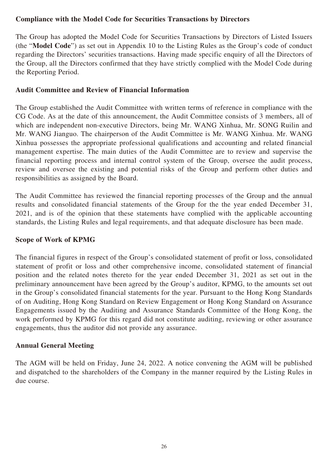#### **Compliance with the Model Code for Securities Transactions by Directors**

The Group has adopted the Model Code for Securities Transactions by Directors of Listed Issuers (the "**Model Code**") as set out in Appendix 10 to the Listing Rules as the Group's code of conduct regarding the Directors' securities transactions. Having made specific enquiry of all the Directors of the Group, all the Directors confirmed that they have strictly complied with the Model Code during the Reporting Period.

#### **Audit Committee and Review of Financial Information**

The Group established the Audit Committee with written terms of reference in compliance with the CG Code. As at the date of this announcement, the Audit Committee consists of 3 members, all of which are independent non-executive Directors, being Mr. WANG Xinhua, Mr. SONG Ruilin and Mr. WANG Jianguo. The chairperson of the Audit Committee is Mr. WANG Xinhua. Mr. WANG Xinhua possesses the appropriate professional qualifications and accounting and related financial management expertise. The main duties of the Audit Committee are to review and supervise the financial reporting process and internal control system of the Group, oversee the audit process, review and oversee the existing and potential risks of the Group and perform other duties and responsibilities as assigned by the Board.

The Audit Committee has reviewed the financial reporting processes of the Group and the annual results and consolidated financial statements of the Group for the the year ended December 31, 2021, and is of the opinion that these statements have complied with the applicable accounting standards, the Listing Rules and legal requirements, and that adequate disclosure has been made.

#### **Scope of Work of KPMG**

The financial figures in respect of the Group's consolidated statement of profit or loss, consolidated statement of profit or loss and other comprehensive income, consolidated statement of financial position and the related notes thereto for the year ended December 31, 2021 as set out in the preliminary announcement have been agreed by the Group's auditor, KPMG, to the amounts set out in the Group's consolidated financial statements for the year. Pursuant to the Hong Kong Standards of on Auditing, Hong Kong Standard on Review Engagement or Hong Kong Standard on Assurance Engagements issued by the Auditing and Assurance Standards Committee of the Hong Kong, the work performed by KPMG for this regard did not constitute auditing, reviewing or other assurance engagements, thus the auditor did not provide any assurance.

#### **Annual General Meeting**

The AGM will be held on Friday, June 24, 2022. A notice convening the AGM will be published and dispatched to the shareholders of the Company in the manner required by the Listing Rules in due course.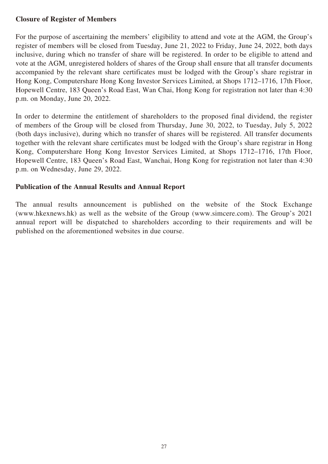#### **Closure of Register of Members**

For the purpose of ascertaining the members' eligibility to attend and vote at the AGM, the Group's register of members will be closed from Tuesday, June 21, 2022 to Friday, June 24, 2022, both days inclusive, during which no transfer of share will be registered. In order to be eligible to attend and vote at the AGM, unregistered holders of shares of the Group shall ensure that all transfer documents accompanied by the relevant share certificates must be lodged with the Group's share registrar in Hong Kong, Computershare Hong Kong Investor Services Limited, at Shops 1712–1716, 17th Floor, Hopewell Centre, 183 Queen's Road East, Wan Chai, Hong Kong for registration not later than 4:30 p.m. on Monday, June 20, 2022.

In order to determine the entitlement of shareholders to the proposed final dividend, the register of members of the Group will be closed from Thursday, June 30, 2022, to Tuesday, July 5, 2022 (both days inclusive), during which no transfer of shares will be registered. All transfer documents together with the relevant share certificates must be lodged with the Group's share registrar in Hong Kong, Computershare Hong Kong Investor Services Limited, at Shops 1712–1716, 17th Floor, Hopewell Centre, 183 Queen's Road East, Wanchai, Hong Kong for registration not later than 4:30 p.m. on Wednesday, June 29, 2022.

#### **Publication of the Annual Results and Annual Report**

The annual results announcement is published on the website of the Stock Exchange (www.hkexnews.hk) as well as the website of the Group (www.simcere.com). The Group's 2021 annual report will be dispatched to shareholders according to their requirements and will be published on the aforementioned websites in due course.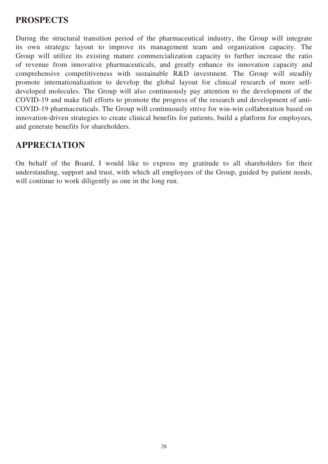### **PROSPECTS**

During the structural transition period of the pharmaceutical industry, the Group will integrate its own strategic layout to improve its management team and organization capacity. The Group will utilize its existing mature commercialization capacity to further increase the ratio of revenue from innovative pharmaceuticals, and greatly enhance its innovation capacity and comprehensive competitiveness with sustainable R&D investment. The Group will steadily promote internationalization to develop the global layout for clinical research of more selfdeveloped molecules. The Group will also continuously pay attention to the development of the COVID-19 and make full efforts to promote the progress of the research and development of anti-COVID-19 pharmaceuticals. The Group will continuously strive for win-win collaboration based on innovation-driven strategies to create clinical benefits for patients, build a platform for employees, and generate benefits for shareholders.

# **APPRECIATION**

On behalf of the Board, I would like to express my gratitude to all shareholders for their understanding, support and trust, with which all employees of the Group, guided by patient needs, will continue to work diligently as one in the long run.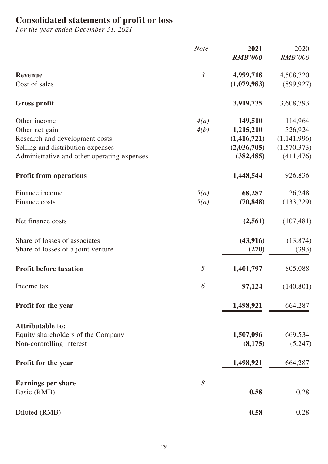### **Consolidated statements of profit or loss**

*For the year ended December 31, 2021*

|                                             | <b>Note</b>    | 2021           | 2020           |
|---------------------------------------------|----------------|----------------|----------------|
|                                             |                | <b>RMB'000</b> | <b>RMB'000</b> |
| <b>Revenue</b>                              | $\mathfrak{Z}$ | 4,999,718      | 4,508,720      |
| Cost of sales                               |                | (1,079,983)    | (899, 927)     |
| <b>Gross profit</b>                         |                | 3,919,735      | 3,608,793      |
| Other income                                | 4(a)           | 149,510        | 114,964        |
| Other net gain                              | 4(b)           | 1,215,210      | 326,924        |
| Research and development costs              |                | (1, 416, 721)  | (1,141,996)    |
| Selling and distribution expenses           |                | (2,036,705)    | (1,570,373)    |
| Administrative and other operating expenses |                | (382, 485)     | (411, 476)     |
| <b>Profit from operations</b>               |                | 1,448,544      | 926,836        |
| Finance income                              | 5(a)           | 68,287         | 26,248         |
| Finance costs                               | 5(a)           | (70, 848)      | (133, 729)     |
| Net finance costs                           |                | (2,561)        | (107, 481)     |
| Share of losses of associates               |                | (43, 916)      | (13, 874)      |
| Share of losses of a joint venture          |                | (270)          | (393)          |
| <b>Profit before taxation</b>               | $\mathfrak{H}$ | 1,401,797      | 805,088        |
| Income tax                                  | 6              | 97,124         | (140, 801)     |
| Profit for the year                         |                | 1,498,921      | 664,287        |
| <b>Attributable to:</b>                     |                |                |                |
| Equity shareholders of the Company          |                | 1,507,096      | 669,534        |
| Non-controlling interest                    |                | (8,175)        | (5,247)        |
| <b>Profit for the year</b>                  |                | 1,498,921      | 664,287        |
| <b>Earnings per share</b>                   | 8              |                |                |
| Basic (RMB)                                 |                | 0.58           | 0.28           |
|                                             |                |                |                |
| Diluted (RMB)                               |                | 0.58           | 0.28           |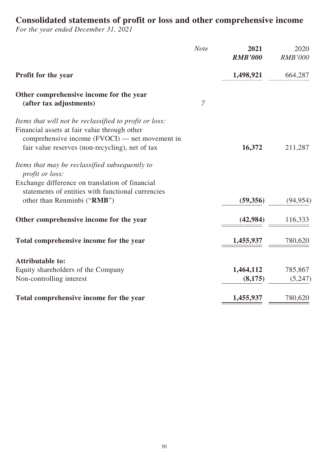### **Consolidated statements of profit or loss and other comprehensive income**

*For the year ended December 31, 2021*

| <b>Note</b> | 2021           | 2020                   |
|-------------|----------------|------------------------|
|             | <b>RMB'000</b> | <b>RMB'000</b>         |
|             | 1,498,921      | 664,287                |
|             |                |                        |
|             |                |                        |
|             |                |                        |
|             |                |                        |
|             |                |                        |
|             | 16,372         | 211,287                |
|             |                |                        |
|             |                |                        |
|             |                |                        |
|             |                |                        |
|             | (59,356)       | (94, 954)              |
|             |                | 116,333                |
|             |                |                        |
|             | 1,455,937      | 780,620                |
|             |                |                        |
|             |                |                        |
|             | 1,464,112      | 785,867                |
|             | (8,175)        | (5,247)                |
|             |                | 780,620                |
|             | 7              | (42, 984)<br>1,455,937 |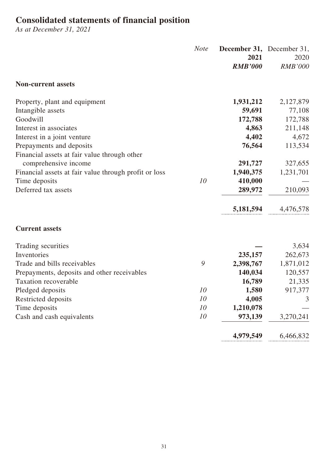### **Consolidated statements of financial position**

*As at December 31, 2021*

|                                                       | <b>Note</b> | <b>December 31, December 31,</b><br>2021<br><b>RMB'000</b> | 2020<br><b>RMB'000</b> |
|-------------------------------------------------------|-------------|------------------------------------------------------------|------------------------|
| <b>Non-current assets</b>                             |             |                                                            |                        |
| Property, plant and equipment                         |             | 1,931,212                                                  | 2,127,879              |
| Intangible assets                                     |             | 59,691                                                     | 77,108                 |
| Goodwill                                              |             | 172,788                                                    | 172,788                |
| Interest in associates                                |             | 4,863                                                      | 211,148                |
| Interest in a joint venture                           |             | 4,402                                                      | 4,672                  |
| Prepayments and deposits                              |             | 76,564                                                     | 113,534                |
| Financial assets at fair value through other          |             |                                                            |                        |
| comprehensive income                                  |             | 291,727                                                    | 327,655                |
| Financial assets at fair value through profit or loss |             | 1,940,375                                                  | 1,231,701              |
| Time deposits                                         | 10          | 410,000                                                    |                        |
| Deferred tax assets                                   |             | 289,972                                                    | 210,093                |
|                                                       |             | 5,181,594                                                  | 4,476,578              |
| <b>Current assets</b>                                 |             |                                                            |                        |
| Trading securities                                    |             |                                                            | 3,634                  |
| Inventories                                           |             | 235,157                                                    | 262,673                |
| Trade and bills receivables                           | 9           | 2,398,767                                                  | 1,871,012              |
| Prepayments, deposits and other receivables           |             | 140,034                                                    | 120,557                |
| <b>Taxation recoverable</b>                           |             | 16,789                                                     | 21,335                 |
| Pledged deposits                                      | 10          | 1,580                                                      | 917,377                |
| Restricted deposits                                   | 10          | 4,005                                                      | 3                      |
| Time deposits                                         | 10          | 1,210,078                                                  |                        |
| Cash and cash equivalents                             | 10          | 973,139                                                    | 3,270,241              |
|                                                       |             | 4,979,549                                                  | 6,466,832              |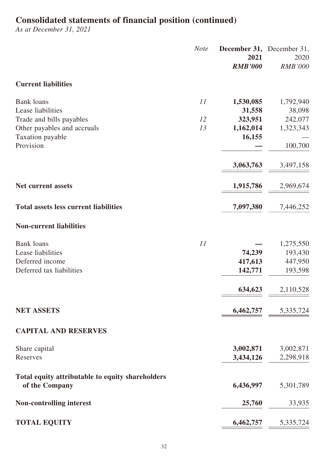# **Consolidated statements of financial position (continued)**

*As at December 31, 2021*

|                                                  | <b>Note</b> | December 31, December 31,<br>2021 | 2020                                            |
|--------------------------------------------------|-------------|-----------------------------------|-------------------------------------------------|
|                                                  |             | <b>RMB'000</b>                    | <b>RMB'000</b>                                  |
| <b>Current liabilities</b>                       |             |                                   |                                                 |
| <b>Bank loans</b>                                | 11          | 1,530,085                         | 1,792,940                                       |
| Lease liabilities                                |             | 31,558                            | 38,098                                          |
| Trade and bills payables                         | 12          | 323,951                           | 242,077                                         |
| Other payables and accruals                      | 13          | 1,162,014                         | 1,323,343                                       |
| Taxation payable<br>Provision                    |             | 16,155                            |                                                 |
|                                                  |             |                                   | 100,700                                         |
|                                                  |             | 3,063,763                         | 3,497,158                                       |
| <b>Net current assets</b>                        |             | 1,915,786                         | 2,969,674                                       |
| <b>Total assets less current liabilities</b>     |             |                                   | 7,097,380 7,446,252                             |
| <b>Non-current liabilities</b>                   |             |                                   |                                                 |
| <b>Bank</b> loans                                | 11          |                                   | 1,275,550                                       |
| Lease liabilities                                |             | 74,239                            | 193,430                                         |
| Deferred income                                  |             | 417,613                           | 447,950                                         |
| Deferred tax liabilities                         |             | 142,771                           | 193,598                                         |
|                                                  |             | 634,623                           | 2,110,528                                       |
| <b>NET ASSETS</b>                                |             |                                   | $\underline{6,}462,757$ $\underline{5,}335,724$ |
| <b>CAPITAL AND RESERVES</b>                      |             |                                   |                                                 |
| Share capital                                    |             | 3,002,871                         | 3,002,871                                       |
| Reserves                                         |             | 3,434,126                         | 2,298,918                                       |
| Total equity attributable to equity shareholders |             |                                   |                                                 |
| of the Company                                   |             | 6,436,997                         | 5,301,789                                       |
| <b>Non-controlling interest</b>                  |             | 25,760                            | 33,935                                          |
| <b>TOTAL EQUITY</b>                              |             | 6,462,757                         | 5,335,724                                       |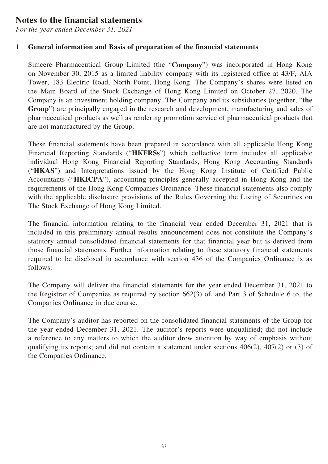### **Notes to the financial statements**

*For the year ended December 31, 2021*

### **1 General information and Basis of preparation of the financial statements**

Simcere Pharmaceutical Group Limited (the "**Company**") was incorporated in Hong Kong on November 30, 2015 as a limited liability company with its registered office at 43/F, AIA Tower, 183 Electric Road, North Point, Hong Kong. The Company's shares were listed on the Main Board of the Stock Exchange of Hong Kong Limited on October 27, 2020. The Company is an investment holding company. The Company and its subsidiaries (together, "**the Group**") are principally engaged in the research and development, manufacturing and sales of pharmaceutical products as well as rendering promotion service of pharmaceutical products that are not manufactured by the Group.

These financial statements have been prepared in accordance with all applicable Hong Kong Financial Reporting Standards ("**HKFRSs**") which collective term includes all applicable individual Hong Kong Financial Reporting Standards, Hong Kong Accounting Standards ("**HKAS**") and Interpretations issued by the Hong Kong Institute of Certified Public Accountants ("**HKICPA**"), accounting principles generally accepted in Hong Kong and the requirements of the Hong Kong Companies Ordinance. These financial statements also comply with the applicable disclosure provisions of the Rules Governing the Listing of Securities on The Stock Exchange of Hong Kong Limited.

The financial information relating to the financial year ended December 31, 2021 that is included in this preliminary annual results announcement does not constitute the Company's statutory annual consolidated financial statements for that financial year but is derived from those financial statements. Further information relating to these statutory financial statements required to be disclosed in accordance with section 436 of the Companies Ordinance is as follows:

The Company will deliver the financial statements for the year ended December 31, 2021 to the Registrar of Companies as required by section 662(3) of, and Part 3 of Schedule 6 to, the Companies Ordinance in due course.

The Company's auditor has reported on the consolidated financial statements of the Group for the year ended December 31, 2021. The auditor's reports were unqualified; did not include a reference to any matters to which the auditor drew attention by way of emphasis without qualifying its reports; and did not contain a statement under sections 406(2), 407(2) or (3) of the Companies Ordinance.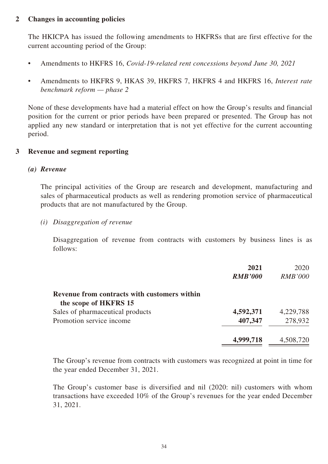#### **2 Changes in accounting policies**

The HKICPA has issued the following amendments to HKFRSs that are first effective for the current accounting period of the Group:

- Amendments to HKFRS 16, *Covid-19-related rent concessions beyond June 30, 2021*
- Amendments to HKFRS 9, HKAS 39, HKFRS 7, HKFRS 4 and HKFRS 16, *Interest rate benchmark reform — phase 2*

None of these developments have had a material effect on how the Group's results and financial position for the current or prior periods have been prepared or presented. The Group has not applied any new standard or interpretation that is not yet effective for the current accounting period.

#### **3 Revenue and segment reporting**

#### *(a) Revenue*

The principal activities of the Group are research and development, manufacturing and sales of pharmaceutical products as well as rendering promotion service of pharmaceutical products that are not manufactured by the Group.

*(i) Disaggregation of revenue*

Disaggregation of revenue from contracts with customers by business lines is as follows:

|                                                                       | 2021<br><b>RMB'000</b> | 2020<br><b>RMB'000</b> |
|-----------------------------------------------------------------------|------------------------|------------------------|
| Revenue from contracts with customers within<br>the scope of HKFRS 15 |                        |                        |
| Sales of pharmaceutical products                                      | 4,592,371              | 4,229,788              |
| Promotion service income                                              | 407,347                | 278,932                |
|                                                                       | 4,999,718              | 4,508,720              |

The Group's revenue from contracts with customers was recognized at point in time for the year ended December 31, 2021.

The Group's customer base is diversified and nil (2020: nil) customers with whom transactions have exceeded 10% of the Group's revenues for the year ended December 31, 2021.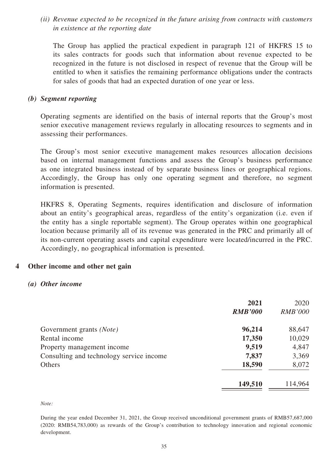*(ii) Revenue expected to be recognized in the future arising from contracts with customers in existence at the reporting date*

The Group has applied the practical expedient in paragraph 121 of HKFRS 15 to its sales contracts for goods such that information about revenue expected to be recognized in the future is not disclosed in respect of revenue that the Group will be entitled to when it satisfies the remaining performance obligations under the contracts for sales of goods that had an expected duration of one year or less.

#### *(b) Segment reporting*

Operating segments are identified on the basis of internal reports that the Group's most senior executive management reviews regularly in allocating resources to segments and in assessing their performances.

The Group's most senior executive management makes resources allocation decisions based on internal management functions and assess the Group's business performance as one integrated business instead of by separate business lines or geographical regions. Accordingly, the Group has only one operating segment and therefore, no segment information is presented.

HKFRS 8, Operating Segments, requires identification and disclosure of information about an entity's geographical areas, regardless of the entity's organization (i.e. even if the entity has a single reportable segment). The Group operates within one geographical location because primarily all of its revenue was generated in the PRC and primarily all of its non-current operating assets and capital expenditure were located/incurred in the PRC. Accordingly, no geographical information is presented.

#### **4 Other income and other net gain**

#### *(a) Other income*

|                                          | 2021           | 2020           |
|------------------------------------------|----------------|----------------|
|                                          | <b>RMB'000</b> | <b>RMB'000</b> |
| Government grants (Note)                 | 96,214         | 88,647         |
| Rental income                            | 17,350         | 10,029         |
| Property management income               | 9,519          | 4,847          |
| Consulting and technology service income | 7,837          | 3,369          |
| Others                                   | 18,590         | 8,072          |
|                                          | 149,510        | 114,964        |

*Note:*

During the year ended December 31, 2021, the Group received unconditional government grants of RMB57,687,000 (2020: RMB54,783,000) as rewards of the Group's contribution to technology innovation and regional economic development.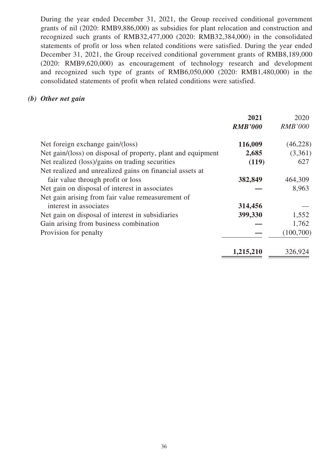During the year ended December 31, 2021, the Group received conditional government grants of nil (2020: RMB9,886,000) as subsidies for plant relocation and construction and recognized such grants of RMB32,477,000 (2020: RMB32,384,000) in the consolidated statements of profit or loss when related conditions were satisfied. During the year ended December 31, 2021, the Group received conditional government grants of RMB8,189,000 (2020: RMB9,620,000) as encouragement of technology research and development and recognized such type of grants of RMB6,050,000 (2020: RMB1,480,000) in the consolidated statements of profit when related conditions were satisfied.

#### *(b) Other net gain*

|                                                              | 2021           | 2020           |
|--------------------------------------------------------------|----------------|----------------|
|                                                              | <b>RMB'000</b> | <b>RMB'000</b> |
| Net foreign exchange gain/(loss)                             | 116,009        | (46, 228)      |
| Net gain/(loss) on disposal of property, plant and equipment | 2,685          | (3,361)        |
| Net realized (loss)/gains on trading securities              | (119)          | 627            |
| Net realized and unrealized gains on financial assets at     |                |                |
| fair value through profit or loss                            | 382,849        | 464,309        |
| Net gain on disposal of interest in associates               |                | 8,963          |
| Net gain arising from fair value remeasurement of            |                |                |
| interest in associates                                       | 314,456        |                |
| Net gain on disposal of interest in subsidiaries             | 399,330        | 1,552          |
| Gain arising from business combination                       |                | 1,762          |
| Provision for penalty                                        |                | (100, 700)     |
|                                                              | 1,215,210      | 326,924        |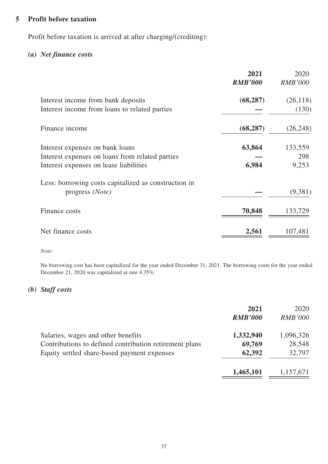#### **5 Profit before taxation**

Profit before taxation is arrived at after charging/(crediting):

### *(a) Net finance costs*

|                                                                                                                              | 2021<br><b>RMB'000</b> | 2020<br><b>RMB'000</b>  |
|------------------------------------------------------------------------------------------------------------------------------|------------------------|-------------------------|
| Interest income from bank deposits<br>Interest income from loans to related parties                                          | (68, 287)              | (26, 118)<br>(130)      |
| Finance income                                                                                                               | (68, 287)              | (26, 248)               |
| Interest expenses on bank loans<br>Interest expenses on loans from related parties<br>Interest expenses on lease liabilities | 63,864<br>6,984        | 133,559<br>298<br>9,253 |
| Less: borrowing costs capitalized as construction in<br>progress (Note)                                                      |                        | (9,381)                 |
| Finance costs                                                                                                                | 70,848                 | 133,729                 |
| Net finance costs                                                                                                            | 2,561                  | 107,481                 |

*Note:*

No borrowing cost has been capitalized for the year ended December 31, 2021. The borrowing costs for the year ended December 21, 2020 was capitalized at rate 4.35%.

#### *(b) Staff costs*

|                                                        | 2021<br><b>RMB'000</b> | 2020<br><b>RMB'000</b> |
|--------------------------------------------------------|------------------------|------------------------|
| Salaries, wages and other benefits                     | 1,332,940              | 1,096,326              |
| Contributions to defined contribution retirement plans | 69,769                 | 28,548                 |
| Equity settled share-based payment expenses            | 62,392                 | 32,797                 |
|                                                        | 1,465,101              | 1,157,671              |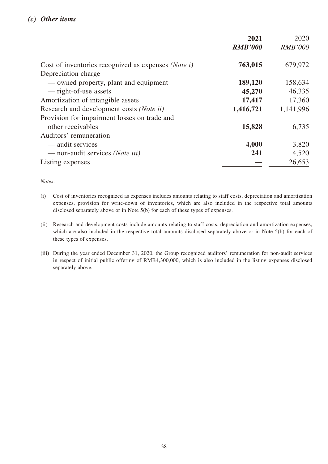|                                                     | 2021           | 2020           |
|-----------------------------------------------------|----------------|----------------|
|                                                     | <b>RMB'000</b> | <b>RMB'000</b> |
| Cost of inventories recognized as expenses (Note i) | 763,015        | 679,972        |
| Depreciation charge                                 |                |                |
| — owned property, plant and equipment               | 189,120        | 158,634        |
| — right-of-use assets                               | 45,270         | 46,335         |
| Amortization of intangible assets                   | 17,417         | 17,360         |
| Research and development costs (Note ii)            | 1,416,721      | 1,141,996      |
| Provision for impairment losses on trade and        |                |                |
| other receivables                                   | 15,828         | 6,735          |
| Auditors' remuneration                              |                |                |
| — audit services                                    | 4,000          | 3,820          |
| — non-audit services (Note iii)                     | 241            | 4,520          |
| Listing expenses                                    |                | 26,653         |

*Notes:*

- (i) Cost of inventories recognized as expenses includes amounts relating to staff costs, depreciation and amortization expenses, provision for write-down of inventories, which are also included in the respective total amounts disclosed separately above or in Note 5(b) for each of these types of expenses.
- (ii) Research and development costs include amounts relating to staff costs, depreciation and amortization expenses, which are also included in the respective total amounts disclosed separately above or in Note 5(b) for each of these types of expenses.
- (iii) During the year ended December 31, 2020, the Group recognized auditors' remuneration for non-audit services in respect of initial public offering of RMB4,300,000, which is also included in the listing expenses disclosed separately above.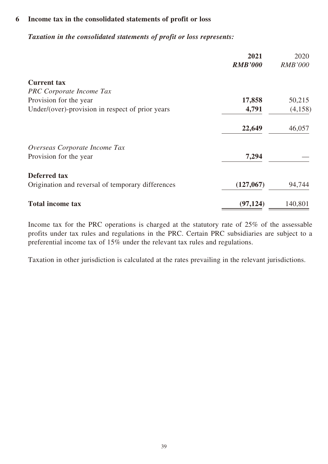#### **6 Income tax in the consolidated statements of profit or loss**

#### *Taxation in the consolidated statements of profit or loss represents:*

|                                                   | 2021           | 2020           |
|---------------------------------------------------|----------------|----------------|
|                                                   | <b>RMB'000</b> | <b>RMB'000</b> |
| <b>Current tax</b>                                |                |                |
| <b>PRC</b> Corporate Income Tax                   |                |                |
| Provision for the year                            | 17,858         | 50,215         |
| Under/(over)-provision in respect of prior years  | 4,791          | (4,158)        |
|                                                   | 22,649         | 46,057         |
| Overseas Corporate Income Tax                     |                |                |
| Provision for the year                            | 7,294          |                |
| Deferred tax                                      |                |                |
| Origination and reversal of temporary differences | (127,067)      | 94,744         |
| <b>Total income tax</b>                           | (97, 124)      | 140,801        |

Income tax for the PRC operations is charged at the statutory rate of 25% of the assessable profits under tax rules and regulations in the PRC. Certain PRC subsidiaries are subject to a preferential income tax of 15% under the relevant tax rules and regulations.

Taxation in other jurisdiction is calculated at the rates prevailing in the relevant jurisdictions.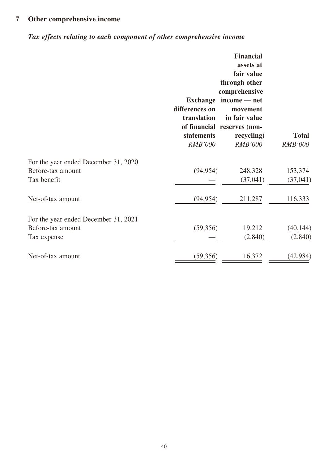# **7 Other comprehensive income**

# *Tax effects relating to each component of other comprehensive income*

|                                      | <b>Exchange</b><br>differences on<br>translation<br>statements<br><b>RMB'000</b> | <b>Financial</b><br>assets at<br>fair value<br>through other<br>comprehensive<br>income — net<br>movement<br>in fair value<br>of financial reserves (non-<br>recycling)<br><b>RMB'000</b> | <b>Total</b><br><b>RMB'000</b> |
|--------------------------------------|----------------------------------------------------------------------------------|-------------------------------------------------------------------------------------------------------------------------------------------------------------------------------------------|--------------------------------|
| For the year ended December 31, 2020 |                                                                                  |                                                                                                                                                                                           |                                |
| Before-tax amount                    | (94, 954)                                                                        | 248,328                                                                                                                                                                                   | 153,374                        |
| Tax benefit                          |                                                                                  | (37, 041)                                                                                                                                                                                 | (37, 041)                      |
| Net-of-tax amount                    | (94, 954)                                                                        | 211,287                                                                                                                                                                                   | 116,333                        |
| For the year ended December 31, 2021 |                                                                                  |                                                                                                                                                                                           |                                |
| Before-tax amount                    | (59, 356)                                                                        | 19,212                                                                                                                                                                                    | (40, 144)                      |
| Tax expense                          |                                                                                  | (2,840)                                                                                                                                                                                   | (2,840)                        |
| Net-of-tax amount                    | (59,356)                                                                         | 16,372                                                                                                                                                                                    | (42, 984)                      |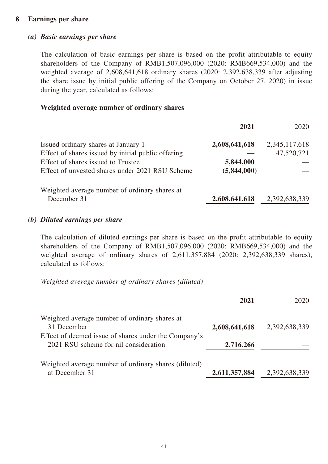#### **8 Earnings per share**

#### *(a) Basic earnings per share*

The calculation of basic earnings per share is based on the profit attributable to equity shareholders of the Company of RMB1,507,096,000 (2020: RMB669,534,000) and the weighted average of 2,608,641,618 ordinary shares (2020: 2,392,638,339 after adjusting the share issue by initial public offering of the Company on October 27, 2020) in issue during the year, calculated as follows:

#### **Weighted average number of ordinary shares**

|                                                    | 2021          | 2020          |
|----------------------------------------------------|---------------|---------------|
| Issued ordinary shares at January 1                | 2,608,641,618 | 2,345,117,618 |
| Effect of shares issued by initial public offering |               | 47,520,721    |
| Effect of shares issued to Trustee                 | 5,844,000     |               |
| Effect of unvested shares under 2021 RSU Scheme    | (5,844,000)   |               |
| Weighted average number of ordinary shares at      |               |               |
| December 31                                        | 2,608,641,618 | 2,392,638,339 |

#### *(b) Diluted earnings per share*

The calculation of diluted earnings per share is based on the profit attributable to equity shareholders of the Company of RMB1,507,096,000 (2020: RMB669,534,000) and the weighted average of ordinary shares of 2,611,357,884 (2020: 2,392,638,339 shares), calculated as follows:

*Weighted average number of ordinary shares (diluted)*

|                                                                                               | 2021          | 2020          |
|-----------------------------------------------------------------------------------------------|---------------|---------------|
| Weighted average number of ordinary shares at<br>31 December                                  | 2,608,641,618 | 2,392,638,339 |
| Effect of deemed issue of shares under the Company's<br>2021 RSU scheme for nil consideration | 2,716,266     |               |
| Weighted average number of ordinary shares (diluted)<br>at December 31                        | 2,611,357,884 | 2,392,638,339 |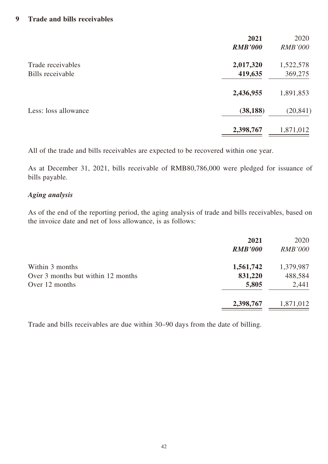|                      | 2021<br><b>RMB'000</b> | 2020<br><b>RMB'000</b> |
|----------------------|------------------------|------------------------|
| Trade receivables    | 2,017,320              | 1,522,578              |
| Bills receivable     | 419,635                | 369,275                |
|                      | 2,436,955              | 1,891,853              |
| Less: loss allowance | (38, 188)              | (20, 841)              |
|                      | 2,398,767              | 1,871,012              |

All of the trade and bills receivables are expected to be recovered within one year.

As at December 31, 2021, bills receivable of RMB80,786,000 were pledged for issuance of bills payable.

#### *Aging analysis*

As of the end of the reporting period, the aging analysis of trade and bills receivables, based on the invoice date and net of loss allowance, is as follows:

|                                    | 2021<br><b>RMB'000</b> | 2020<br><b>RMB'000</b> |
|------------------------------------|------------------------|------------------------|
| Within 3 months                    | 1,561,742              | 1,379,987              |
| Over 3 months but within 12 months | 831,220                | 488,584                |
| Over 12 months                     | 5,805                  | 2,441                  |
|                                    | 2,398,767              | 1,871,012              |

Trade and bills receivables are due within 30–90 days from the date of billing.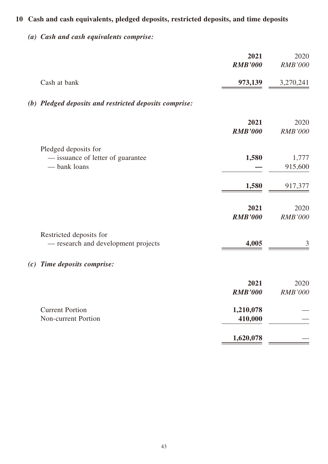# **10 Cash and cash equivalents, pledged deposits, restricted deposits, and time deposits**

*(a) Cash and cash equivalents comprise:*

|                                                        | 2021           | 2020           |
|--------------------------------------------------------|----------------|----------------|
|                                                        | <b>RMB'000</b> | <b>RMB'000</b> |
| Cash at bank                                           | 973,139        | 3,270,241      |
| (b) Pledged deposits and restricted deposits comprise: |                |                |
|                                                        | 2021           | 2020           |
|                                                        | <b>RMB'000</b> | <b>RMB'000</b> |
| Pledged deposits for                                   |                |                |
| - issuance of letter of guarantee                      | 1,580          | 1,777          |
| - bank loans                                           |                | 915,600        |
|                                                        | 1,580          | 917,377        |
|                                                        | 2021           | 2020           |
|                                                        | <b>RMB'000</b> | <b>RMB'000</b> |
| Restricted deposits for                                |                |                |
| - research and development projects                    | 4,005          | 3              |
| (c) Time deposits comprise:                            |                |                |
|                                                        | 2021           | 2020           |
|                                                        | <b>RMB'000</b> | <b>RMB'000</b> |
| <b>Current Portion</b>                                 | 1,210,078      |                |
| Non-current Portion                                    | 410,000        |                |
|                                                        | 1,620,078      |                |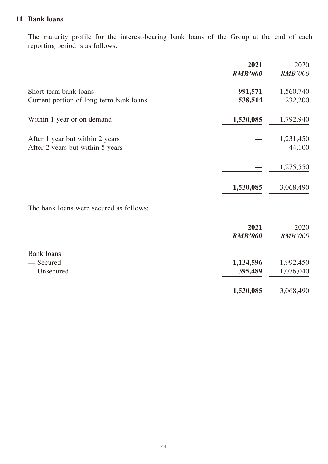#### **11 Bank loans**

The maturity profile for the interest-bearing bank loans of the Group at the end of each reporting period is as follows:

|                                         | 2021           | 2020           |
|-----------------------------------------|----------------|----------------|
|                                         | <b>RMB'000</b> | <b>RMB'000</b> |
| Short-term bank loans                   | 991,571        | 1,560,740      |
| Current portion of long-term bank loans | 538,514        | 232,200        |
| Within 1 year or on demand              | 1,530,085      | 1,792,940      |
| After 1 year but within 2 years         |                | 1,231,450      |
| After 2 years but within 5 years        |                | 44,100         |
|                                         |                | 1,275,550      |
|                                         | 1,530,085      | 3,068,490      |
| The bank loans were secured as follows: |                |                |
|                                         | 2021           | 2020           |
|                                         | <b>RMB'000</b> | <b>RMB'000</b> |
| <b>Bank loans</b>                       |                |                |
| - Secured                               | 1,134,596      | 1,992,450      |
| - Unsecured                             | 395,489        | 1,076,040      |
|                                         | 1,530,085      | 3,068,490      |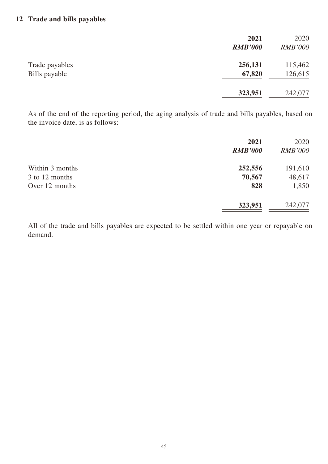|                                 | 2021<br><b>RMB'000</b> | 2020<br><b>RMB'000</b> |
|---------------------------------|------------------------|------------------------|
| Trade payables<br>Bills payable | 256,131<br>67,820      | 115,462<br>126,615     |
|                                 | 323,951                | 242,077                |

As of the end of the reporting period, the aging analysis of trade and bills payables, based on the invoice date, is as follows:

|                 | 2021<br><b>RMB'000</b> | 2020<br><i>RMB'000</i> |
|-----------------|------------------------|------------------------|
| Within 3 months | 252,556                | 191,610                |
| 3 to 12 months  | 70,567                 | 48,617                 |
| Over 12 months  | 828                    | 1,850                  |
|                 | 323,951                | 242,077                |

All of the trade and bills payables are expected to be settled within one year or repayable on demand.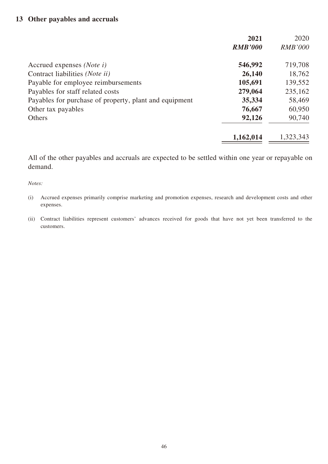#### **13 Other payables and accruals**

|                                                        | 2021           | 2020           |
|--------------------------------------------------------|----------------|----------------|
|                                                        | <b>RMB'000</b> | <b>RMB'000</b> |
| Accrued expenses (Note i)                              | 546,992        | 719,708        |
| Contract liabilities ( <i>Note ii</i> )                | 26,140         | 18,762         |
| Payable for employee reimbursements                    | 105,691        | 139,552        |
| Payables for staff related costs                       | 279,064        | 235,162        |
| Payables for purchase of property, plant and equipment | 35,334         | 58,469         |
| Other tax payables                                     | 76,667         | 60,950         |
| Others                                                 | 92,126         | 90,740         |
|                                                        | 1,162,014      | 1,323,343      |

All of the other payables and accruals are expected to be settled within one year or repayable on demand.

*Notes:*

(i) Accrued expenses primarily comprise marketing and promotion expenses, research and development costs and other expenses.

(ii) Contract liabilities represent customers' advances received for goods that have not yet been transferred to the customers.